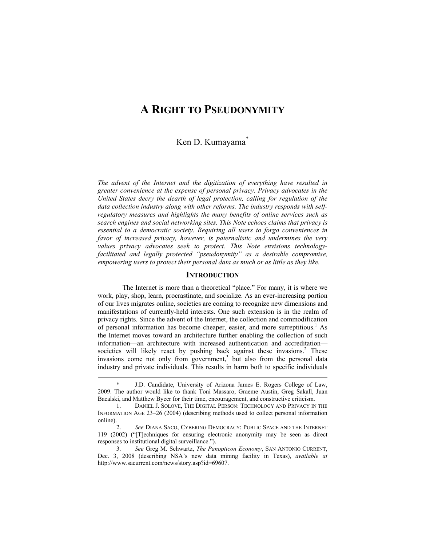# **A RIGHT TO PSEUDONYMITY**

# Ken D. Kumayama<sup>\*</sup>

*The advent of the Internet and the digitization of everything have resulted in greater convenience at the expense of personal privacy. Privacy advocates in the United States decry the dearth of legal protection, calling for regulation of the data collection industry along with other reforms. The industry responds with selfregulatory measures and highlights the many benefits of online services such as search engines and social networking sites. This Note echoes claims that privacy is essential to a democratic society. Requiring all users to forgo conveniences in favor of increased privacy, however, is paternalistic and undermines the very values privacy advocates seek to protect. This Note envisions technologyfacilitated and legally protected "pseudonymity" as a desirable compromise, empowering users to protect their personal data as much or as little as they like.* 

# **INTRODUCTION**

The Internet is more than a theoretical "place." For many, it is where we work, play, shop, learn, procrastinate, and socialize. As an ever-increasing portion of our lives migrates online, societies are coming to recognize new dimensions and manifestations of currently-held interests. One such extension is in the realm of privacy rights. Since the advent of the Internet, the collection and commodification of personal information has become cheaper, easier, and more surreptitious.<sup>1</sup> As the Internet moves toward an architecture further enabling the collection of such information—an architecture with increased authentication and accreditation societies will likely react by pushing back against these invasions.<sup>2</sup> These invasions come not only from government,<sup>3</sup> but also from the personal data industry and private individuals. This results in harm both to specific individuals

 <sup>\*</sup> J.D. Candidate, University of Arizona James E. Rogers College of Law, 2009. The author would like to thank Toni Massaro, Graeme Austin, Greg Sakall, Juan Bacalski, and Matthew Bycer for their time, encouragement, and constructive criticism.

 <sup>1.</sup> DANIEL J. SOLOVE, THE DIGITAL PERSON: TECHNOLOGY AND PRIVACY IN THE INFORMATION AGE 23–26 (2004) (describing methods used to collect personal information online).

 <sup>2.</sup> *See* DIANA SACO, CYBERING DEMOCRACY: PUBLIC SPACE AND THE INTERNET 119 (2002) ("[T]echniques for ensuring electronic anonymity may be seen as direct responses to institutional digital surveillance.").

 <sup>3.</sup> *See* Greg M. Schwartz, *The Panopticon Economy*, SAN ANTONIO CURRENT, Dec. 3, 2008 (describing NSA's new data mining facility in Texas), *available at* http://www.sacurrent.com/news/story.asp?id=69607.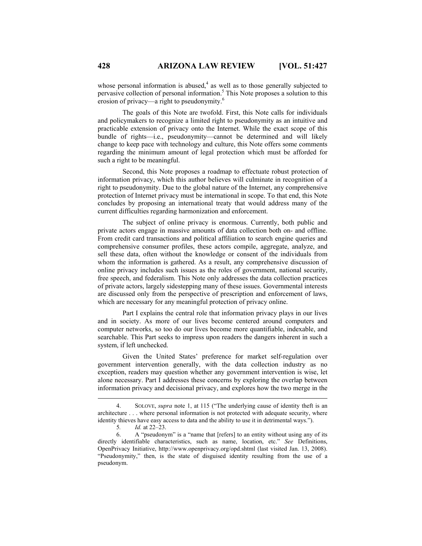whose personal information is abused, $4$  as well as to those generally subjected to pervasive collection of personal information.<sup>5</sup> This Note proposes a solution to this erosion of privacy—a right to pseudonymity.<sup>6</sup>

The goals of this Note are twofold. First, this Note calls for individuals and policymakers to recognize a limited right to pseudonymity as an intuitive and practicable extension of privacy onto the Internet. While the exact scope of this bundle of rights—i.e., pseudonymity—cannot be determined and will likely change to keep pace with technology and culture, this Note offers some comments regarding the minimum amount of legal protection which must be afforded for such a right to be meaningful.

Second, this Note proposes a roadmap to effectuate robust protection of information privacy, which this author believes will culminate in recognition of a right to pseudonymity. Due to the global nature of the Internet, any comprehensive protection of Internet privacy must be international in scope. To that end, this Note concludes by proposing an international treaty that would address many of the current difficulties regarding harmonization and enforcement.

The subject of online privacy is enormous. Currently, both public and private actors engage in massive amounts of data collection both on- and offline. From credit card transactions and political affiliation to search engine queries and comprehensive consumer profiles, these actors compile, aggregate, analyze, and sell these data, often without the knowledge or consent of the individuals from whom the information is gathered. As a result, any comprehensive discussion of online privacy includes such issues as the roles of government, national security, free speech, and federalism. This Note only addresses the data collection practices of private actors, largely sidestepping many of these issues. Governmental interests are discussed only from the perspective of prescription and enforcement of laws, which are necessary for any meaningful protection of privacy online.

Part I explains the central role that information privacy plays in our lives and in society. As more of our lives become centered around computers and computer networks, so too do our lives become more quantifiable, indexable, and searchable. This Part seeks to impress upon readers the dangers inherent in such a system, if left unchecked.

Given the United States' preference for market self-regulation over government intervention generally, with the data collection industry as no exception, readers may question whether any government intervention is wise, let alone necessary. Part I addresses these concerns by exploring the overlap between information privacy and decisional privacy, and explores how the two merge in the

 <sup>4.</sup> SOLOVE, *supra* note 1, at 115 ("The underlying cause of identity theft is an architecture . . . where personal information is not protected with adequate security, where identity thieves have easy access to data and the ability to use it in detrimental ways.").

 <sup>5</sup>*. Id.* at 22–23.

 <sup>6.</sup> A "pseudonym" is a "name that [refers] to an entity without using any of its directly identifiable characteristics, such as name, location, etc." *See* Definitions, OpenPrivacy Initiative, http://www.openprivacy.org/opd.shtml (last visited Jan. 13, 2008). "Pseudonymity," then, is the state of disguised identity resulting from the use of a pseudonym.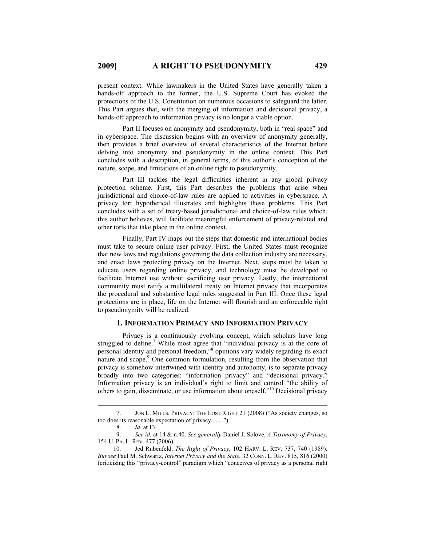present context. While lawmakers in the United States have generally taken a hands-off approach to the former, the U.S. Supreme Court has evoked the protections of the U.S. Constitution on numerous occasions to safeguard the latter. This Part argues that, with the merging of information and decisional privacy, a hands-off approach to information privacy is no longer a viable option.

Part II focuses on anonymity and pseudonymity, both in "real space" and in cyberspace. The discussion begins with an overview of anonymity generally, then provides a brief overview of several characteristics of the Internet before delving into anonymity and pseudonymity in the online context. This Part concludes with a description, in general terms, of this author's conception of the nature, scope, and limitations of an online right to pseudonymity.

Part III tackles the legal difficulties inherent in any global privacy protection scheme. First, this Part describes the problems that arise when jurisdictional and choice-of-law rules are applied to activities in cyberspace. A privacy tort hypothetical illustrates and highlights these problems. This Part concludes with a set of treaty-based jurisdictional and choice-of-law rules which, this author believes, will facilitate meaningful enforcement of privacy-related and other torts that take place in the online context.

Finally, Part IV maps out the steps that domestic and international bodies must take to secure online user privacy. First, the United States must recognize that new laws and regulations governing the data collection industry are necessary, and enact laws protecting privacy on the Internet. Next, steps must be taken to educate users regarding online privacy, and technology must be developed to facilitate Internet use without sacrificing user privacy. Lastly, the international community must ratify a multilateral treaty on Internet privacy that incorporates the procedural and substantive legal rules suggested in Part III. Once these legal protections are in place, life on the Internet will flourish and an enforceable right to pseudonymity will be realized.

# **I. INFORMATION PRIMACY AND INFORMATION PRIVACY**

Privacy is a continuously evolving concept, which scholars have long struggled to define.<sup>7</sup> While most agree that "individual privacy is at the core of personal identity and personal freedom,"8 opinions vary widely regarding its exact nature and scope.<sup>9</sup> One common formulation, resulting from the observation that privacy is somehow intertwined with identity and autonomy, is to separate privacy broadly into two categories: "information privacy" and "decisional privacy." Information privacy is an individual's right to limit and control "the ability of others to gain, disseminate, or use information about oneself."10 Decisional privacy

 <sup>7.</sup> JON L. MILLS, PRIVACY: THE LOST RIGHT 21 (2008) ("As society changes, so too does its reasonable expectation of privacy . . . .").

 <sup>8.</sup> *Id.* at 13.

 <sup>9.</sup> *See id.* at 14 & n.40. *See generally* Daniel J. Solove, *A Taxonomy of Privacy*, 154 U. PA. L. REV. 477 (2006).

 <sup>10.</sup> Jed Rubenfeld, *The Right of Privacy*, 102 HARV. L. REV. 737, 740 (1989). *But see* Paul M. Schwartz, *Internet Privacy and the State*, 32 CONN. L. REV. 815, 816 (2000) (criticizing this "privacy-control" paradigm which "conceives of privacy as a personal right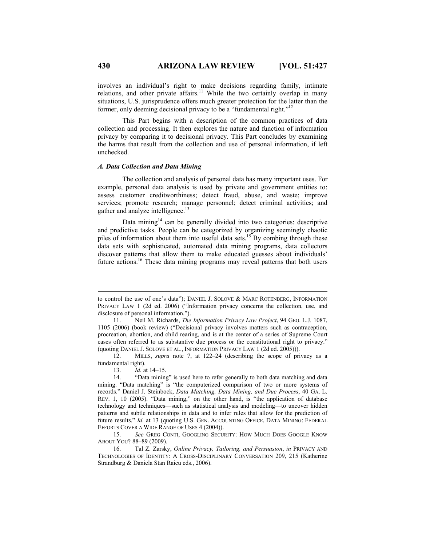involves an individual's right to make decisions regarding family, intimate relations, and other private affairs.<sup>11</sup> While the two certainly overlap in many situations, U.S. jurisprudence offers much greater protection for the latter than the former, only deeming decisional privacy to be a "fundamental right."<sup>12</sup>

This Part begins with a description of the common practices of data collection and processing. It then explores the nature and function of information privacy by comparing it to decisional privacy. This Part concludes by examining the harms that result from the collection and use of personal information, if left unchecked.

# *A. Data Collection and Data Mining*

The collection and analysis of personal data has many important uses. For example, personal data analysis is used by private and government entities to: assess customer creditworthiness; detect fraud, abuse, and waste; improve services; promote research; manage personnel; detect criminal activities; and gather and analyze intelligence.<sup>13</sup>

Data mining $14$  can be generally divided into two categories: descriptive and predictive tasks. People can be categorized by organizing seemingly chaotic piles of information about them into useful data sets.<sup>15</sup> By combing through these data sets with sophisticated, automated data mining programs, data collectors discover patterns that allow them to make educated guesses about individuals' future actions.16 These data mining programs may reveal patterns that both users

13. *Id.* at 14–15.

 $\overline{a}$ 

to control the use of one's data"); DANIEL J. SOLOVE & MARC ROTENBERG, INFORMATION PRIVACY LAW 1 (2d ed. 2006) ("Information privacy concerns the collection, use, and disclosure of personal information.").

 <sup>11.</sup> Neil M. Richards, *The Information Privacy Law Project*, 94 GEO. L.J. 1087, 1105 (2006) (book review) ("Decisional privacy involves matters such as contraception, procreation, abortion, and child rearing, and is at the center of a series of Supreme Court cases often referred to as substantive due process or the constitutional right to privacy." (quoting DANIEL J. SOLOVE ET AL., INFORMATION PRIVACY LAW 1 (2d ed. 2005))).

 <sup>12.</sup> MILLS, *supra* note 7, at 122–24 (describing the scope of privacy as a fundamental right).

 <sup>14. &</sup>quot;Data mining" is used here to refer generally to both data matching and data mining. "Data matching" is "the computerized comparison of two or more systems of records." Daniel J. Steinbock, *Data Matching, Data Mining, and Due Process*, 40 GA. L. REV. 1, 10 (2005). "Data mining," on the other hand, is "the application of database technology and techniques—such as statistical analysis and modeling—to uncover hidden patterns and subtle relationships in data and to infer rules that allow for the prediction of future results." *Id.* at 13 (quoting U.S. GEN. ACCOUNTING OFFICE, DATA MINING: FEDERAL EFFORTS COVER A WIDE RANGE OF USES 4 (2004)).

 <sup>15.</sup> *See* GREG CONTI, GOOGLING SECURITY: HOW MUCH DOES GOOGLE KNOW ABOUT YOU? 88–89 (2009).

 <sup>16.</sup> Tal Z. Zarsky, *Online Privacy, Tailoring, and Persuasion*, *in* PRIVACY AND TECHNOLOGIES OF IDENTITY: A CROSS-DISCIPLINARY CONVERSATION 209, 215 (Katherine Strandburg & Daniela Stan Raicu eds., 2006).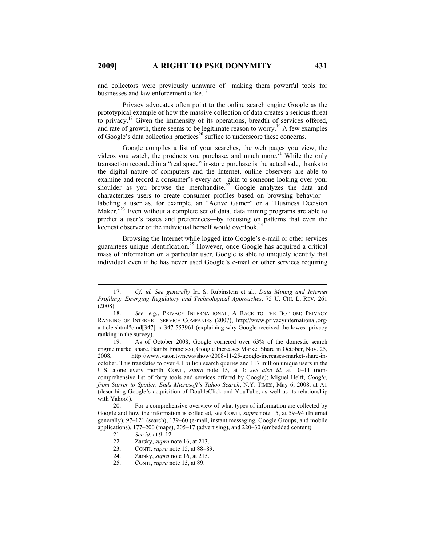and collectors were previously unaware of—making them powerful tools for businesses and law enforcement alike.<sup>17</sup>

Privacy advocates often point to the online search engine Google as the prototypical example of how the massive collection of data creates a serious threat to privacy.18 Given the immensity of its operations, breadth of services offered, and rate of growth, there seems to be legitimate reason to worry.<sup>19</sup> A few examples of Google's data collection practices<sup>20</sup> suffice to underscore these concerns.

Google compiles a list of your searches, the web pages you view, the videos you watch, the products you purchase, and much more.<sup>21</sup> While the only transaction recorded in a "real space" in-store purchase is the actual sale, thanks to the digital nature of computers and the Internet, online observers are able to examine and record a consumer's every act—akin to someone looking over your shoulder as you browse the merchandise.<sup>22</sup> Google analyzes the data and characterizes users to create consumer profiles based on browsing behavior labeling a user as, for example, an "Active Gamer" or a "Business Decision Maker."<sup>23</sup> Even without a complete set of data, data mining programs are able to predict a user's tastes and preferences—by focusing on patterns that even the keenest observer or the individual herself would overlook.<sup>24</sup>

Browsing the Internet while logged into Google's e-mail or other services guarantees unique identification.25 However, once Google has acquired a critical mass of information on a particular user, Google is able to uniquely identify that individual even if he has never used Google's e-mail or other services requiring

- 21. *See id.* at 9–12.
- 22. Zarsky, *supra* note 16, at 213.<br>23. CONTL *supra* note 15, at 88–89
- 23. CONTI, *supra* note 15, at 88–89.
- 24. Zarsky, *supra* note 16, at 215.
- 25. CONTI, *supra* note 15, at 89.

 <sup>17.</sup> *Cf. id. See generally* Ira S. Rubinstein et al., *Data Mining and Internet Profiling: Emerging Regulatory and Technological Approaches*, 75 U. CHI. L. REV. 261 (2008).

 <sup>18.</sup> *See, e.g.*, PRIVACY INTERNATIONAL, A RACE TO THE BOTTOM: PRIVACY RANKING OF INTERNET SERVICE COMPANIES (2007), http://www.privacyinternational.org/ article.shtml?cmd[347]=x-347-553961 (explaining why Google received the lowest privacy ranking in the survey).

 <sup>19.</sup> As of October 2008, Google cornered over 63% of the domestic search engine market share. Bambi Francisco, Google Increases Market Share in October, Nov. 25, 2008, http://www.vator.tv/news/show/2008-11-25-google-increases-market-share-inoctober. This translates to over 4.1 billion search queries and 117 million unique users in the U.S. alone every month. CONTI, *supra* note 15, at 3; *see also id.* at 10–11 (noncomprehensive list of forty tools and services offered by Google); Miguel Helft, *Google, from Stirrer to Spoiler, Ends Microsoft's Yahoo Search*, N.Y. TIMES, May 6, 2008, at A1 (describing Google's acquisition of DoubleClick and YouTube, as well as its relationship with Yahoo!).

 <sup>20.</sup> For a comprehensive overview of what types of information are collected by Google and how the information is collected, see CONTI, *supra* note 15, at 59–94 (Internet generally), 97–121 (search), 139–60 (e-mail, instant messaging, Google Groups, and mobile applications), 177–200 (maps), 205–17 (advertising), and 220–30 (embedded content).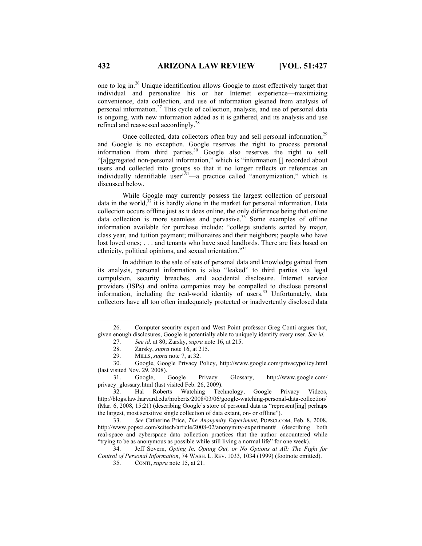one to log in.26 Unique identification allows Google to most effectively target that individual and personalize his or her Internet experience—maximizing convenience, data collection, and use of information gleaned from analysis of personal information.27 This cycle of collection, analysis, and use of personal data is ongoing, with new information added as it is gathered, and its analysis and use refined and reassessed accordingly.28

Once collected, data collectors often buy and sell personal information,<sup>29</sup> and Google is no exception. Google reserves the right to process personal information from third parties.30 Google also reserves the right to sell "[a]ggregated non-personal information," which is "information [] recorded about users and collected into groups so that it no longer reflects or references an individually identifiable user $x^{31}$ —a practice called "anonymization," which is discussed below.

While Google may currently possess the largest collection of personal data in the world, $32$  it is hardly alone in the market for personal information. Data collection occurs offline just as it does online, the only difference being that online data collection is more seamless and pervasive.<sup>33</sup> Some examples of offline information available for purchase include: "college students sorted by major, class year, and tuition payment; millionaires and their neighbors; people who have lost loved ones; . . . and tenants who have sued landlords. There are lists based on ethnicity, political opinions, and sexual orientation."34

In addition to the sale of sets of personal data and knowledge gained from its analysis, personal information is also "leaked" to third parties via legal compulsion, security breaches, and accidental disclosure. Internet service providers (ISPs) and online companies may be compelled to disclose personal information, including the real-world identity of users.<sup>35</sup> Unfortunately, data collectors have all too often inadequately protected or inadvertently disclosed data

 33. *See* Catherine Price, *The Anonymity Experiment*, POPSCI.COM, Feb. 8, 2008, http://www.popsci.com/scitech/article/2008-02/anonymity-experiment# (describing both real-space and cyberspace data collection practices that the author encountered while "trying to be as anonymous as possible while still living a normal life" for one week).

 34. Jeff Sovern, *Opting In, Opting Out, or No Options at All: The Fight for Control of Personal Information*, 74 WASH. L. REV. 1033, 1034 (1999) (footnote omitted).

35. CONTI, *supra* note 15, at 21.

 <sup>26.</sup> Computer security expert and West Point professor Greg Conti argues that, given enough disclosures, Google is potentially able to uniquely identify every user. *See id.*

 <sup>27.</sup> *See id.* at 80; Zarsky, *supra* note 16, at 215.

<sup>28.</sup> Zarsky, *supra* note 16, at 215.<br>29. MILLS, *supra* note 7, at 32.

MILLS, *supra* note 7, at 32.

 <sup>30.</sup> Google, Google Privacy Policy, http://www.google.com/privacypolicy.html (last visited Nov. 29, 2008).

 <sup>31.</sup> Google, Google Privacy Glossary, http://www.google.com/ privacy glossary.html (last visited Feb. 26, 2009).

 <sup>32.</sup> Hal Roberts Watching Technology, Google Privacy Videos, http://blogs.law.harvard.edu/hroberts/2008/03/06/google-watching-personal-data-collection/ (Mar. 6, 2008, 15:21) (describing Google's store of personal data as "represent[ing] perhaps the largest, most sensitive single collection of data extant, on- or offline").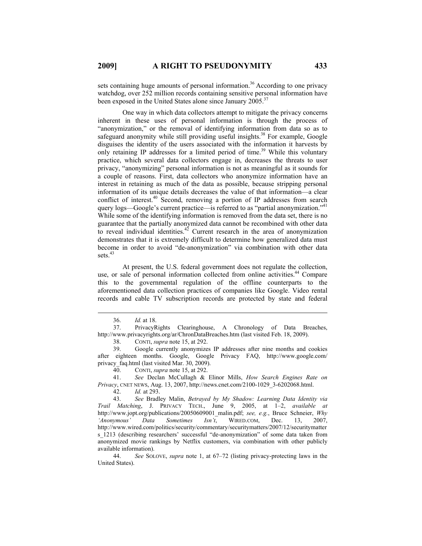sets containing huge amounts of personal information.<sup>36</sup> According to one privacy watchdog, over 252 million records containing sensitive personal information have been exposed in the United States alone since January 2005.<sup>37</sup>

One way in which data collectors attempt to mitigate the privacy concerns inherent in these uses of personal information is through the process of "anonymization," or the removal of identifying information from data so as to safeguard anonymity while still providing useful insights.<sup>38</sup> For example, Google disguises the identity of the users associated with the information it harvests by only retaining IP addresses for a limited period of time.<sup>39</sup> While this voluntary practice, which several data collectors engage in, decreases the threats to user privacy, "anonymizing" personal information is not as meaningful as it sounds for a couple of reasons. First, data collectors who anonymize information have an interest in retaining as much of the data as possible, because stripping personal information of its unique details decreases the value of that information—a clear conflict of interest.<sup>40</sup> Second, removing a portion of IP addresses from search query logs—Google's current practice—is referred to as "partial anonymization."<sup>41</sup> While some of the identifying information is removed from the data set, there is no guarantee that the partially anonymized data cannot be recombined with other data to reveal individual identities.<sup>42</sup> Current research in the area of anonymization demonstrates that it is extremely difficult to determine how generalized data must become in order to avoid "de-anonymization" via combination with other data sets. $43$ 

At present, the U.S. federal government does not regulate the collection, use, or sale of personal information collected from online activities.<sup>44</sup> Compare this to the governmental regulation of the offline counterparts to the aforementioned data collection practices of companies like Google. Video rental records and cable TV subscription records are protected by state and federal

 <sup>36.</sup> *Id.* at 18.

 <sup>37.</sup> PrivacyRights Clearinghouse, A Chronology of Data Breaches, http://www.privacyrights.org/ar/ChronDataBreaches.htm (last visited Feb. 18, 2009).

 <sup>38.</sup> CONTI, *supra* note 15, at 292.

 <sup>39.</sup> Google currently anonymizes IP addresses after nine months and cookies after eighteen months. Google, Google Privacy FAQ, http://www.google.com/ privacy faq.html (last visited Mar. 30, 2009).

 <sup>40.</sup> CONTI, *supra* note 15, at 292.

 <sup>41.</sup> *See* Declan McCullagh & Elinor Mills, *How Search Engines Rate on Privacy*, CNET NEWS, Aug. 13, 2007, http://news.cnet.com/2100-1029\_3-6202068.html.

 <sup>42.</sup> *Id.* at 293.

 <sup>43.</sup> *See* Bradley Malin, *Betrayed by My Shadow: Learning Data Identity via Trail Matching*, J. PRIVACY TECH., June 9, 2005, at 1–2, *available at* http://www.jopt.org/publications/20050609001\_malin.pdf; *see, e.g.*, Bruce Schneier, *Why 'Anonymous' Data Sometimes Isn't*, WIRED.COM, Dec. 13, 2007, http://www.wired.com/politics/security/commentary/securitymatters/2007/12/securitymatter s 1213 (describing researchers' successful "de-anonymization" of some data taken from anonymized movie rankings by Netflix customers, via combination with other publicly available information).

 <sup>44.</sup> *See* SOLOVE, *supra* note 1, at 67–72 (listing privacy-protecting laws in the United States).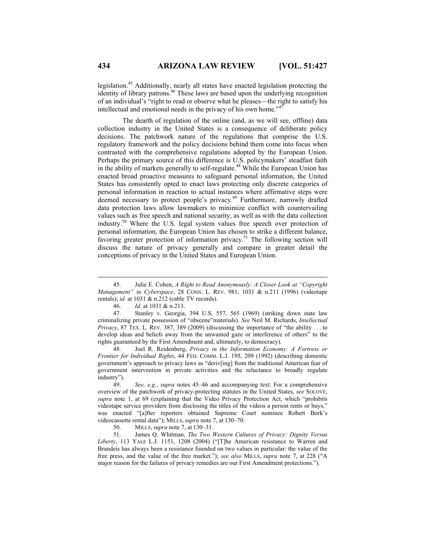legislation.45 Additionally, nearly all states have enacted legislation protecting the identity of library patrons.<sup>46</sup> These laws are based upon the underlying recognition of an individual's "right to read or observe what he pleases—the right to satisfy his intellectual and emotional needs in the privacy of his own home."<sup>47</sup>

The dearth of regulation of the online (and, as we will see, offline) data collection industry in the United States is a consequence of deliberate policy decisions. The patchwork nature of the regulations that comprise the U.S. regulatory framework and the policy decisions behind them come into focus when contrasted with the comprehensive regulations adopted by the European Union. Perhaps the primary source of this difference is U.S. policymakers' steadfast faith in the ability of markets generally to self-regulate.<sup>48</sup> While the European Union has enacted broad proactive measures to safeguard personal information, the United States has consistently opted to enact laws protecting only discrete categories of personal information in reaction to actual instances where affirmative steps were deemed necessary to protect people's privacy.<sup>49</sup> Furthermore, narrowly drafted data protection laws allow lawmakers to minimize conflict with countervailing values such as free speech and national security, as well as with the data collection industry.50 Where the U.S. legal system values free speech over protection of personal information, the European Union has chosen to strike a different balance, favoring greater protection of information privacy.<sup>51</sup> The following section will discuss the nature of privacy generally and compare in greater detail the conceptions of privacy in the United States and European Union.

 48. Joel R. Reidenberg, *Privacy in the Information Economy: A Fortress or Frontier for Individual Rights*, 44 FED. COMM. L.J. 195, 209 (1992) (describing domestic government's approach to privacy laws as "deriv[ing] from the traditional American fear of government intervention in private activities and the reluctance to broadly regulate industry").

 49. *See, e.g.*, *supra* notes 45–46 and accompanying text. For a comprehensive overview of the patchwork of privacy-protecting statutes in the United States, *see* SOLOVE, *supra* note 1, at 69 (explaining that the Video Privacy Protection Act, which "prohibits videotape service providers from disclosing the titles of the videos a person rents or buys," was enacted "[a]fter reporters obtained Supreme Court nominee Robert Bork's videocassette rental data"); MILLS, *supra* note 7, at 130–70.

50. MILLS, *supra* note 7, at 130–31.

 51. James Q. Whitman, *The Two Western Cultures of Privacy: Dignity Versus Liberty*, 113 YALE L.J. 1151, 1208 (2004) ("[T]he American resistance to Warren and Brandeis has always been a resistance founded on two values in particular: the value of the free press, and the value of the free market."); *see also* MILLS, *supra* note 7, at 228 ("A major reason for the failures of privacy remedies are our First Amendment protections.").

 <sup>45.</sup> Julie E. Cohen, *A Right to Read Anonymously: A Closer Look at "Copyright Management" in Cyberspace*, 28 CONN. L. REV. 981, 1031 & n.211 (1996) (videotape rentals); *id.* at 1031 & n.212 (cable TV records).

 <sup>46.</sup> *Id.* at 1031 & n.213.

 <sup>47.</sup> Stanley v. Georgia, 394 U.S. 557, 565 (1969) (striking down state law criminalizing private possession of "obscene"materials). *See* Neil M. Richards, *Intellectual Privacy*, 87 TEX. L. REV. 387, 389 (2009) (discussing the importance of "the ability . . . to develop ideas and beliefs away from the unwanted gaze or interference of others" to the rights guaranteed by the First Amendment and, ultimately, to democracy).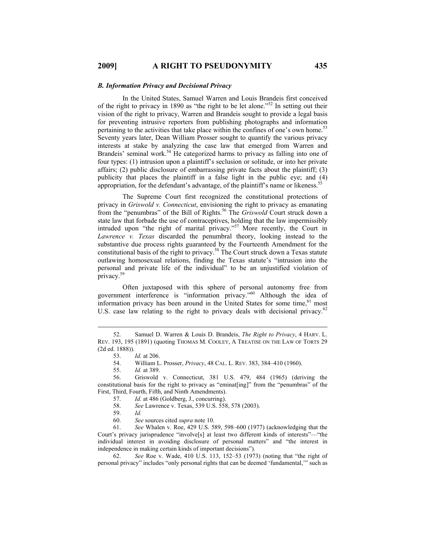#### *B. Information Privacy and Decisional Privacy*

In the United States, Samuel Warren and Louis Brandeis first conceived of the right to privacy in 1890 as "the right to be let alone."<sup>52</sup> In setting out their vision of the right to privacy, Warren and Brandeis sought to provide a legal basis for preventing intrusive reporters from publishing photographs and information pertaining to the activities that take place within the confines of one's own home.<sup>53</sup> Seventy years later, Dean William Prosser sought to quantify the various privacy interests at stake by analyzing the case law that emerged from Warren and Brandeis' seminal work.<sup>54</sup> He categorized harms to privacy as falling into one of four types: (1) intrusion upon a plaintiff's seclusion or solitude, or into her private affairs; (2) public disclosure of embarrassing private facts about the plaintiff; (3) publicity that places the plaintiff in a false light in the public eye; and (4) appropriation, for the defendant's advantage, of the plaintiff's name or likeness.<sup>5</sup>

The Supreme Court first recognized the constitutional protections of privacy in *Griswold v. Connecticut*, envisioning the right to privacy as emanating from the "penumbras" of the Bill of Rights.<sup>56</sup> The *Griswold* Court struck down a state law that forbade the use of contraceptives, holding that the law impermissibly intruded upon "the right of marital privacy."57 More recently, the Court in *Lawrence v. Texas* discarded the penumbral theory, looking instead to the substantive due process rights guaranteed by the Fourteenth Amendment for the constitutional basis of the right to privacy.<sup>58</sup> The Court struck down a Texas statute outlawing homosexual relations, finding the Texas statute's "intrusion into the personal and private life of the individual" to be an unjustified violation of privacy.59

Often juxtaposed with this sphere of personal autonomy free from government interference is "information privacy."60 Although the idea of information privacy has been around in the United States for some time, <sup>61</sup> most U.S. case law relating to the right to privacy deals with decisional privacy.<sup>62</sup>

 56. Griswold v. Connecticut, 381 U.S. 479, 484 (1965) (deriving the constitutional basis for the right to privacy as "eminat[ing]" from the "penumbras" of the First, Third, Fourth, Fifth, and Ninth Amendments).

57. *Id.* at 486 (Goldberg, J., concurring).

58. *See* Lawrence v. Texas, 539 U.S. 558, 578 (2003).

59. *Id.*

60. *See* sources cited *supra* note 10.

 61. *See* Whalen v. Roe, 429 U.S. 589, 598–600 (1977) (acknowledging that the Court's privacy jurisprudence "involve[s] at least two different kinds of interests"—"the individual interest in avoiding disclosure of personal matters" and "the interest in independence in making certain kinds of important decisions").

 62. *See* Roe v. Wade, 410 U.S. 113, 152–53 (1973) (noting that "the right of personal privacy" includes "only personal rights that can be deemed 'fundamental,'" such as

 <sup>52.</sup> Samuel D. Warren & Louis D. Brandeis, *The Right to Privacy*, 4 HARV. L. REV. 193, 195 (1891) (quoting THOMAS M. COOLEY, A TREATISE ON THE LAW OF TORTS 29 (2d ed. 1888)).<br>53.

 <sup>53.</sup> *Id.* at 206.

 <sup>54.</sup> William L. Prosser, *Privacy*, 48 CAL. L. REV. 383, 384–410 (1960).

 <sup>55.</sup> *Id.* at 389.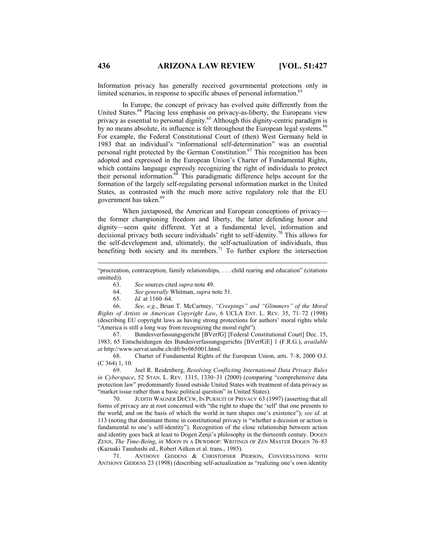Information privacy has generally received governmental protections only in limited scenarios, in response to specific abuses of personal information.<sup>6</sup>

In Europe, the concept of privacy has evolved quite differently from the United States.<sup>64</sup> Placing less emphasis on privacy-as-liberty, the Europeans view privacy as essential to personal dignity.<sup>65</sup> Although this dignity-centric paradigm is by no means absolute, its influence is felt throughout the European legal systems.<sup>66</sup> For example, the Federal Constitutional Court of (then) West Germany held in 1983 that an individual's "informational self-determination" was an essential personal right protected by the German Constitution.<sup>67</sup> This recognition has been adopted and expressed in the European Union's Charter of Fundamental Rights, which contains language expressly recognizing the right of individuals to protect their personal information.68 This paradigmatic difference helps account for the formation of the largely self-regulating personal information market in the United States, as contrasted with the much more active regulatory role that the EU government has taken.<sup>69</sup>

When juxtaposed, the American and European conceptions of privacy the former championing freedom and liberty, the latter defending honor and dignity—seem quite different. Yet at a fundamental level, information and decisional privacy both secure individuals' right to self-identity.70 This allows for the self-development and, ultimately, the self-actualization of individuals, thus benefiting both society and its members.<sup>71</sup> To further explore the intersection

63. *See* sources cited *supra* note 49.

64. *See generally* Whitman, *supra* note 51.

65. *Id.* at 1160–64.

 66. *See, e.g.*, Brian T. McCartney, *"Creepings" and "Glimmers" of the Moral Rights of Artists in American Copyright Law*, 6 UCLA ENT. L. REV. 35, 71–72 (1998) (describing EU copyright laws as having strong protections for authors' moral rights while "America is still a long way from recognizing the moral right").

 67. Bundesverfassungsgericht [BVerfG] [Federal Constitutional Court] Dec. 15, 1983, 65 Entscheidungen des Bundesverfassungsgerichts [BVerfGE] 1 (F.R.G.), *available at* http://www.servat.unibe.ch/dfr/bv065001.html.

 68. Charter of Fundamental Rights of the European Union, arts. 7–8, 2000 O.J. (C 364) 1, 10.

 69. Joel R. Reidenberg, *Resolving Conflicting International Data Privacy Rules in Cyberspace*, 52 STAN. L. REV. 1315, 1330–31 (2000) (comparing "comprehensive data protection law" predominantly found outside United States with treatment of data privacy as "market issue rather than a basic political question" in United States).

 70. JUDITH WAGNER DECEW, IN PURSUIT OF PRIVACY 63 (1997) (asserting that all forms of privacy are at root concerned with "the right to shape the 'self' that one presents to the world, and on the basis of which the world in turn shapes one's existence"); *see id.* at 113 (noting that dominant theme in constitutional privacy is "whether a decision or action is fundamental to one's self-identity"). Recognition of the close relationship between action and identity goes back at least to Dogen Zenji's philosophy in the thirteenth century. DOGEN ZENJI, *The Time-Being*, *in* MOON IN A DEWDROP: WRITINGS OF ZEN MASTER DOGEN 76–83 (Kazuaki Tanahashi ed., Robert Aitken et al. trans., 1985).

 71. ANTHONY GIDDENS & CHRISTOPHER PIERSON, CONVERSATIONS WITH ANTHONY GIDDENS 23 (1998) (describing self-actualization as "realizing one's own identity

 $\overline{a}$ 

<sup>&</sup>quot;procreation, contraception, family relationships, . . . child rearing and education" (citations omitted)).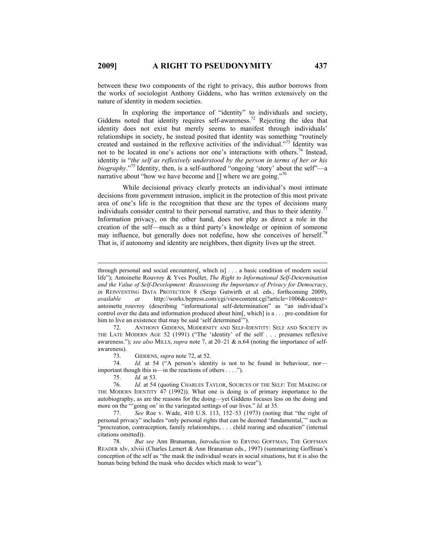between these two components of the right to privacy, this author borrows from the works of sociologist Anthony Giddens, who has written extensively on the nature of identity in modern societies.

In exploring the importance of "identity" to individuals and society, Giddens noted that identity requires self-awareness.<sup>72</sup> Rejecting the idea that identity does not exist but merely seems to manifest through individuals' relationships in society, he instead posited that identity was something "routinely created and sustained in the reflexive activities of the individual."73 Identity was not to be located in one's actions nor one's interactions with others.74 Instead, identity is "*the self as reflexively understood by the person in terms of her or his biography*."75 Identity, then, is a self-authored "ongoing 'story' about the self"—a narrative about "how we have become and  $\lceil \cdot \rceil$  where we are going."<sup>76</sup>

While decisional privacy clearly protects an individual's most intimate decisions from government intrusion, implicit in the protection of this most private area of one's life is the recognition that these are the types of decisions many individuals consider central to their personal narrative, and thus to their identity. Information privacy, on the other hand, does not play as direct a role in the creation of the self—much as a third party's knowledge or opinion of someone may influence, but generally does not redefine, how she conceives of herself.<sup>78</sup> That is, if autonomy and identity are neighbors, then dignity lives up the street.

 72. ANTHONY GIDDENS, MODERNITY AND SELF-IDENTITY: SELF AND SOCIETY IN THE LATE MODERN AGE 52 (1991) ("The 'identity' of the self . . . presumes reflexive awareness."); *see also* MILLS, *supra* note 7, at 20–21 & n.64 (noting the importance of selfawareness).

73. GIDDENS, *supra* note 72, at 52.

 74. *Id.* at 54 ("A person's identity is not to be found in behaviour, nor important though this is—in the reactions of others . . . .").

75. *Id.* at 53.

 77. *See* Roe v. Wade, 410 U.S. 113, 152–53 (1973) (noting that "the right of personal privacy" includes "only personal rights that can be deemed 'fundamental,'" such as "procreation, contraception, family relationships, . . . child rearing and education" (internal citations omitted)).

 78. *But see* Ann Branaman, *Introduction* to ERVING GOFFMAN, THE GOFFMAN READER xlv, xlviii (Charles Lemert & Ann Branaman eds., 1997) (summarizing Goffman's conception of the self as "the mask the individual wears in social situations, but it is also the human being behind the mask who decides which mask to wear").

 $\overline{a}$ 

through personal and social encounters[, which is] . . . a basic condition of modern social life"); Antoinette Rouvroy & Yves Poullet, *The Right to Informational Self-Determination and the Value of Self-Development: Reassessing the Importance of Privacy for Democracy*, *in* REINVENTING DATA PROTECTION 8 (Serge Gutwirth et al. eds., forthcoming 2009), *available at* http://works.bepress.com/cgi/viewcontent.cgi?article=1006&context= antoinette rouvroy (describing "informational self-determination" as "an individual's control over the data and information produced about him[, which] is a . . . pre-condition for him to live an existence that may be said 'self determined'").

 <sup>76.</sup> *Id.* at 54 (quoting CHARLES TAYLOR, SOURCES OF THE SELF: THE MAKING OF THE MODERN IDENTITY 47 (1992)). What one is doing is of primary importance to the autobiography, as are the reasons for the doing—yet Giddens focuses less on the doing and more on the "'going on' in the variegated settings of our lives." *Id.* at 35.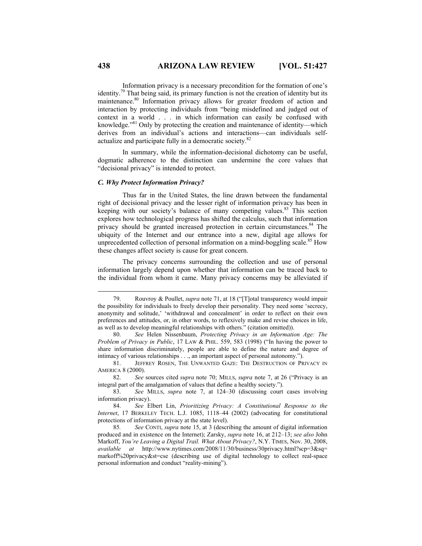Information privacy is a necessary precondition for the formation of one's identity.<sup>79</sup> That being said, its primary function is not the creation of identity but its maintenance.<sup>80</sup> Information privacy allows for greater freedom of action and interaction by protecting individuals from "being misdefined and judged out of context in a world . . . in which information can easily be confused with knowledge."81 Only by protecting the creation and maintenance of identity—which derives from an individual's actions and interactions—can individuals selfactualize and participate fully in a democratic society.<sup>82</sup>

In summary, while the information-decisional dichotomy can be useful, dogmatic adherence to the distinction can undermine the core values that "decisional privacy" is intended to protect.

## *C. Why Protect Information Privacy?*

Thus far in the United States, the line drawn between the fundamental right of decisional privacy and the lesser right of information privacy has been in keeping with our society's balance of many competing values.<sup>83</sup> This section explores how technological progress has shifted the calculus, such that information privacy should be granted increased protection in certain circumstances.<sup>84</sup> The ubiquity of the Internet and our entrance into a new, digital age allows for unprecedented collection of personal information on a mind-boggling scale.<sup>85</sup> How these changes affect society is cause for great concern.

The privacy concerns surrounding the collection and use of personal information largely depend upon whether that information can be traced back to the individual from whom it came. Many privacy concerns may be alleviated if

 81. JEFFREY ROSEN, THE UNWANTED GAZE: THE DESTRUCTION OF PRIVACY IN AMERICA 8 (2000).

 82. *See* sources cited *supra* note 70; MILLS, *supra* note 7, at 26 ("Privacy is an integral part of the amalgamation of values that define a healthy society.").

 83. *See* MILLS, *supra* note 7, at 124–30 (discussing court cases involving information privacy).

 85*. See* CONTI, *supra* note 15, at 3 (describing the amount of digital information produced and in existence on the Internet); Zarsky, *supra* note 16, at 212–13; *see also* John Markoff, *You're Leaving a Digital Trail. What About Privacy?*, N.Y. TIMES, Nov. 30, 2008, *available at* http://www.nytimes.com/2008/11/30/business/30privacy.html?scp=3&sq= markoff%20privacy&st=cse (describing use of digital technology to collect real-space personal information and conduct "reality-mining").

 <sup>79.</sup> Rouvroy & Poullet, *supra* note 71, at 18 ("[T]otal transparency would impair the possibility for individuals to freely develop their personality. They need some 'secrecy, anonymity and solitude,' 'withdrawal and concealment' in order to reflect on their own preferences and attitudes, or, in other words, to reflexively make and revise choices in life, as well as to develop meaningful relationships with others." (citation omitted)).

 <sup>80.</sup> *See* Helen Nissenbaum, *Protecting Privacy in an Information Age: The Problem of Privacy in Public*, 17 LAW & PHIL. 559, 583 (1998) ("In having the power to share information discriminately, people are able to define the nature and degree of intimacy of various relationships . . ., an important aspect of personal autonomy.").

 <sup>84.</sup> *See* Elbert Lin, *Prioritizing Privacy: A Constitutional Response to the Internet*, 17 BERKELEY TECH. L.J. 1085, 1118–44 (2002) (advocating for constitutional protections of information privacy at the state level).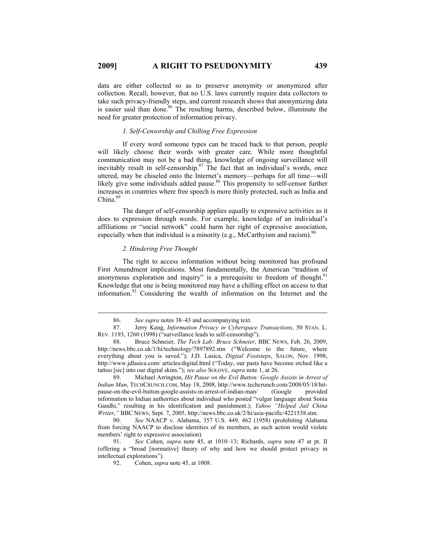data are either collected so as to preserve anonymity or anonymized after collection. Recall, however, that no U.S. laws currently require data collectors to take such privacy-friendly steps, and current research shows that anonymizing data is easier said than done.<sup>86</sup> The resulting harms, described below, illuminate the need for greater protection of information privacy.

#### *1. Self-Censorship and Chilling Free Expression*

If every word someone types can be traced back to that person, people will likely choose their words with greater care. While more thoughtful communication may not be a bad thing, knowledge of ongoing surveillance will inevitably result in self-censorship.<sup>87</sup> The fact that an individual's words, once uttered, may be chiseled onto the Internet's memory—perhaps for all time—will likely give some individuals added pause.<sup>88</sup> This propensity to self-censor further increases in countries where free speech is more thinly protected, such as India and  $China.<sup>89</sup>$ 

The danger of self-censorship applies equally to expressive activities as it does to expression through words. For example, knowledge of an individual's affiliations or "social network" could harm her right of expressive association, especially when that individual is a minority (e.g., McCarthyism and racism).<sup>90</sup>

#### *2. Hindering Free Thought*

The right to access information without being monitored has profound First Amendment implications. Most fundamentally, the American "tradition of anonymous exploration and inquiry" is a prerequisite to freedom of thought.<sup>91</sup> Knowledge that one is being monitored may have a chilling effect on access to that information.92 Considering the wealth of information on the Internet and the

 89. Michael Arrington, *Hit Pause on the Evil Button: Google Assists in Arrest of Indian Man*, TECHCRUNCH.COM, May 18, 2008, http://www.techcrunch.com/2008/05/18/hitpause-on-the-evil-button-google-assists-in-arrest-of-indian-man/ (Google provided information to Indian authorities about individual who posted "vulgar language about Sonia Gandhi," resulting in his identification and punishment.); *Yahoo "Helped Jail China Writer*,*"* BBC NEWS, Sept. 7, 2005, http://news.bbc.co.uk/2/hi/asia-pacific/4221538.stm.

 90. *See* NAACP v. Alabama, 357 U.S. 449, 462 (1958) (prohibiting Alabama from forcing NAACP to disclose identities of its members, as such action would violate members' right to expressive association).

 91. *See* Cohen, *supra* note 45, at 1010–13; Richards, *supra* note 47 at pt. II (offering a "broad [normative] theory of why and how we should protect privacy in intellectual explorations").

 <sup>86.</sup> *See supra* notes 38–43 and accompanying text.

 <sup>87.</sup> Jerry Kang, *Information Privacy in Cyberspace Transactions*, 50 STAN. L. REV. 1193, 1260 (1998) ("surveillance leads to self-censorship").

 <sup>88.</sup> Bruce Schneier, *The Tech Lab: Bruce Schneier*, BBC NEWS, Feb. 26, 2009, http://news.bbc.co.uk/1/hi/technology/7897892.stm ("Welcome to the future, where everything about you is saved."); J.D. Lasica, *Digital Footsteps*, SALON, Nov. 1998, http://www.jdlasica.com/ articles/digital.html ("Today, our pasts have become etched like a tattoo [sic] into our digital skins."); *see also* SOLOVE, *supra* note 1, at 26.

 <sup>92.</sup> Cohen, *supra* note 45, at 1008.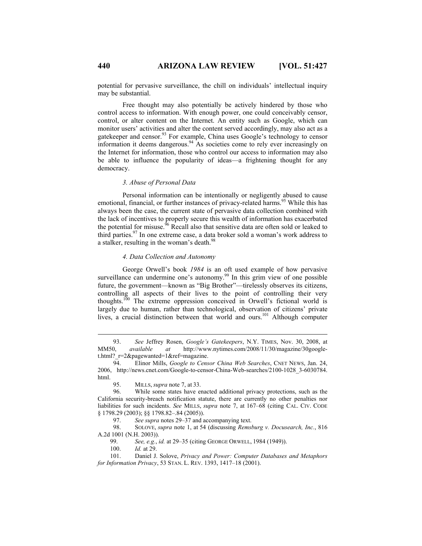potential for pervasive surveillance, the chill on individuals' intellectual inquiry may be substantial.

Free thought may also potentially be actively hindered by those who control access to information. With enough power, one could conceivably censor, control, or alter content on the Internet. An entity such as Google, which can monitor users' activities and alter the content served accordingly, may also act as a gatekeeper and censor.<sup>93</sup> For example, China uses Google's technology to censor information it deems dangerous.<sup>94</sup> As societies come to rely ever increasingly on the Internet for information, those who control our access to information may also be able to influence the popularity of ideas—a frightening thought for any democracy.

# *3. Abuse of Personal Data*

Personal information can be intentionally or negligently abused to cause emotional, financial, or further instances of privacy-related harms.<sup>95</sup> While this has always been the case, the current state of pervasive data collection combined with the lack of incentives to properly secure this wealth of information has exacerbated the potential for misuse.<sup>96</sup> Recall also that sensitive data are often sold or leaked to third parties.<sup>97</sup> In one extreme case, a data broker sold a woman's work address to a stalker, resulting in the woman's death.<sup>98</sup>

#### *4. Data Collection and Autonomy*

George Orwell's book *1984* is an oft used example of how pervasive surveillance can undermine one's autonomy.<sup>99</sup> In this grim view of one possible future, the government—known as "Big Brother"—tirelessly observes its citizens, controlling all aspects of their lives to the point of controlling their very thoughts.100 The extreme oppression conceived in Orwell's fictional world is largely due to human, rather than technological, observation of citizens' private lives, a crucial distinction between that world and ours.<sup>101</sup> Although computer

97. *See supra* notes 29–37 and accompanying text.<br>98. SOLOVE, *supra* note 1, at 54 (discussing *Remsi* 

 98. SOLOVE, *supra* note 1, at 54 (discussing *Remsburg v. Docusearch, Inc.*, 816 A.2d 1001 (N.H. 2003)).

99. *See, e.g.*, *id.* at 29–35 (citing GEORGE ORWELL, 1984 (1949)).

100. *Id.* at 29.

 <sup>93.</sup> *See* Jeffrey Rosen, *Google's Gatekeepers*, N.Y. TIMES, Nov. 30, 2008, at MM50, *available at* http://www.nytimes.com/2008/11/30/magazine/30googlet.html? $r=2\&$ pagewanted=1 $&$ ref=magazine.

 <sup>94.</sup> Elinor Mills, *Google to Censor China Web Searches*, CNET NEWS, Jan. 24, 2006, http://news.cnet.com/Google-to-censor-China-Web-searches/2100-1028\_3-6030784. html.

 <sup>95.</sup> MILLS, *supra* note 7, at 33.

 <sup>96.</sup> While some states have enacted additional privacy protections, such as the California security-breach notification statute, there are currently no other penalties nor liabilities for such incidents. *See* MILLS, *supra* note 7, at 167–68 (citing CAL. CIV. CODE § 1798.29 (2003); §§ 1798.82–.84 (2005)).

<sup>101.</sup> Daniel J. Solove, *Privacy and Power: Computer Databases and Metaphors for Information Privacy*, 53 STAN. L. REV. 1393, 1417–18 (2001).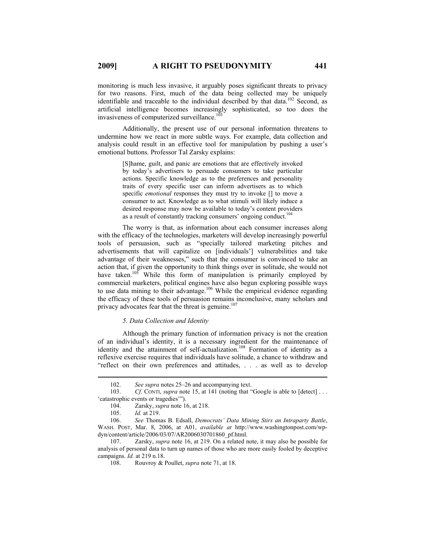monitoring is much less invasive, it arguably poses significant threats to privacy for two reasons. First, much of the data being collected may be uniquely identifiable and traceable to the individual described by that data.<sup>102</sup> Second, as artificial intelligence becomes increasingly sophisticated, so too does the invasiveness of computerized surveillance.<sup>1</sup>

Additionally, the present use of our personal information threatens to undermine how we react in more subtle ways. For example, data collection and analysis could result in an effective tool for manipulation by pushing a user's emotional buttons. Professor Tal Zarsky explains:

> [S]hame, guilt, and panic are emotions that are effectively invoked by today's advertisers to persuade consumers to take particular actions. Specific knowledge as to the preferences and personality traits of every specific user can inform advertisers as to which specific *emotional* responses they must try to invoke [] to move a consumer to act. Knowledge as to what stimuli will likely induce a desired response may now be available to today's content providers as a result of constantly tracking consumers' ongoing conduct.<sup>10</sup>

The worry is that, as information about each consumer increases along with the efficacy of the technologies, marketers will develop increasingly powerful tools of persuasion, such as "specially tailored marketing pitches and advertisements that will capitalize on [individuals'] vulnerabilities and take advantage of their weaknesses," such that the consumer is convinced to take an action that, if given the opportunity to think things over in solitude, she would not have taken.<sup>105</sup> While this form of manipulation is primarily employed by commercial marketers, political engines have also begun exploring possible ways to use data mining to their advantage.<sup>106</sup> While the empirical evidence regarding the efficacy of these tools of persuasion remains inconclusive, many scholars and privacy advocates fear that the threat is genuine.<sup>107</sup>

#### *5. Data Collection and Identity*

Although the primary function of information privacy is not the creation of an individual's identity, it is a necessary ingredient for the maintenance of identity and the attainment of self-actualization.<sup>108</sup> Formation of identity as a reflexive exercise requires that individuals have solitude, a chance to withdraw and "reflect on their own preferences and attitudes, . . . as well as to develop

107. Zarsky, *supra* note 16, at 219. On a related note, it may also be possible for analysis of personal data to turn up names of those who are more easily fooled by deceptive campaigns. *Id.* at 219 n.18.

 <sup>102.</sup> *See supra* notes 25–26 and accompanying text.

<sup>103.</sup> *Cf.* CONTI, *supra* note 15, at 141 (noting that "Google is able to [detect] ... 'catastrophic events or tragedies'").

<sup>104.</sup> Zarsky, *supra* note 16, at 218.

<sup>105.</sup> *Id.* at 219.

<sup>106.</sup> *See* Thomas B. Edsall, *Democrats' Data Mining Stirs an Intraparty Battle*, WASH. POST, Mar. 8, 2006, at A01, *available at* http://www.washingtonpost.com/wpdyn/content/article/2006/03/07/AR2006030701860\_pf.html.

<sup>108.</sup> Rouvroy & Poullet, *supra* note 71, at 18.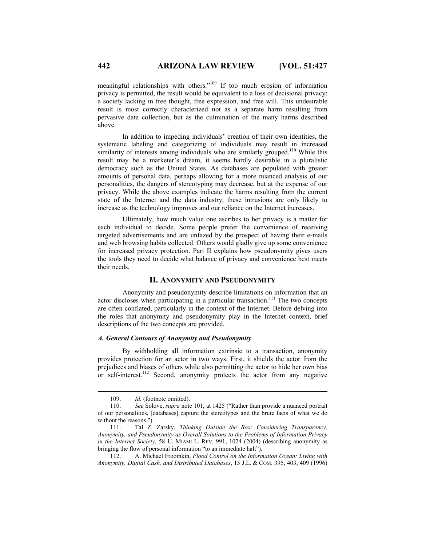meaningful relationships with others."109 If too much erosion of information privacy is permitted, the result would be equivalent to a loss of decisional privacy: a society lacking in free thought, free expression, and free will. This undesirable result is most correctly characterized not as a separate harm resulting from pervasive data collection, but as the culmination of the many harms described above.

In addition to impeding individuals' creation of their own identities, the systematic labeling and categorizing of individuals may result in increased similarity of interests among individuals who are similarly grouped.<sup>110</sup> While this result may be a marketer's dream, it seems hardly desirable in a pluralistic democracy such as the United States. As databases are populated with greater amounts of personal data, perhaps allowing for a more nuanced analysis of our personalities, the dangers of stereotyping may decrease, but at the expense of our privacy. While the above examples indicate the harms resulting from the current state of the Internet and the data industry, these intrusions are only likely to increase as the technology improves and our reliance on the Internet increases.

Ultimately, how much value one ascribes to her privacy is a matter for each individual to decide. Some people prefer the convenience of receiving targeted advertisements and are unfazed by the prospect of having their e-mails and web browsing habits collected. Others would gladly give up some convenience for increased privacy protection. Part II explains how pseudonymity gives users the tools they need to decide what balance of privacy and convenience best meets their needs.

# **II. ANONYMITY AND PSEUDONYMITY**

Anonymity and pseudonymity describe limitations on information that an actor discloses when participating in a particular transaction.<sup>111</sup> The two concepts are often conflated, particularly in the context of the Internet. Before delving into the roles that anonymity and pseudonymity play in the Internet context, brief descriptions of the two concepts are provided.

#### *A. General Contours of Anonymity and Pseudonymity*

By withholding all information extrinsic to a transaction, anonymity provides protection for an actor in two ways. First, it shields the actor from the prejudices and biases of others while also permitting the actor to hide her own bias or self-interest.<sup>112</sup> Second, anonymity protects the actor from any negative

 <sup>109.</sup> *Id.* (footnote omitted).

<sup>110.</sup> *See* Solove, *supra* note 101, at 1425 ("Rather than provide a nuanced portrait of our personalities, [databases] capture the stereotypes and the brute facts of what we do without the reasons.").

<sup>111.</sup> Tal Z. Zarsky, *Thinking Outside the Box: Considering Transparency, Anonymity, and Pseudonymity as Overall Solutions to the Problems of Information Privacy in the Internet Society*, 58 U. MIAMI L. REV. 991, 1024 (2004) (describing anonymity as bringing the flow of personal information "to an immediate halt").

<sup>112.</sup> A. Michael Froomkin, *Flood Control on the Information Ocean: Living with Anonymity, Digital Cash, and Distributed Databases*, 15 J.L. & COM. 395, 403, 409 (1996)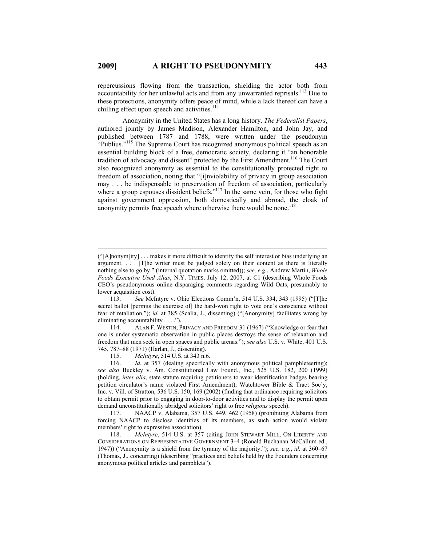repercussions flowing from the transaction, shielding the actor both from accountability for her unlawful acts and from any unwarranted reprisals.<sup>113</sup> Due to these protections, anonymity offers peace of mind, while a lack thereof can have a chilling effect upon speech and activities.<sup>114</sup>

Anonymity in the United States has a long history. *The Federalist Papers*, authored jointly by James Madison, Alexander Hamilton, and John Jay, and published between 1787 and 1788, were written under the pseudonym "Publius."<sup>115</sup> The Supreme Court has recognized anonymous political speech as an essential building block of a free, democratic society, declaring it "an honorable tradition of advocacy and dissent" protected by the First Amendment.116 The Court also recognized anonymity as essential to the constitutionally protected right to freedom of association, noting that "[i]nviolability of privacy in group association may . . . be indispensable to preservation of freedom of association, particularly where a group espouses dissident beliefs."<sup>117</sup> In the same vein, for those who fight against government oppression, both domestically and abroad, the cloak of anonymity permits free speech where otherwise there would be none.<sup>118</sup>

114. ALAN F. WESTIN, PRIVACY AND FREEDOM 31 (1967) ("Knowledge or fear that one is under systematic observation in public places destroys the sense of relaxation and freedom that men seek in open spaces and public arenas."); *see also* U.S. v. White, 401 U.S. 745, 787–88 (1971) (Harlan, J., dissenting).<br>115. McIntyre, 514 U.S. at 343 n.

*McIntyre*, 514 U.S. at 343 n.6.

117. NAACP v. Alabama, 357 U.S. 449, 462 (1958) (prohibiting Alabama from forcing NAACP to disclose identities of its members, as such action would violate members' right to expressive association).

 $\overline{a}$ 

<sup>(&</sup>quot;[A]nonym[ity] . . . makes it more difficult to identify the self interest or bias underlying an argument. . . . [T]he writer must be judged solely on their content as there is literally nothing else to go by." (internal quotation marks omitted)); *see, e.g.*, Andrew Martin, *Whole Foods Executive Used Alias*, N.Y. TIMES, July 12, 2007, at C1 (describing Whole Foods CEO's pseudonymous online disparaging comments regarding Wild Oats, presumably to lower acquisition cost).

<sup>113.</sup> *See* McIntyre v. Ohio Elections Comm'n, 514 U.S. 334, 343 (1995) ("[T]he secret ballot [permits the exercise of] the hard-won right to vote one's conscience without fear of retaliation."); *id.* at 385 (Scalia, J., dissenting) ("[Anonymity] facilitates wrong by eliminating accountability . . . .").

<sup>116.</sup> *Id.* at 357 (dealing specifically with anonymous political pamphleteering); *see also* Buckley v. Am. Constitutional Law Found., Inc., 525 U.S. 182, 200 (1999) (holding, *inter alia*, state statute requiring petitioners to wear identification badges bearing petition circulator's name violated First Amendment); Watchtower Bible & Tract Soc'y, Inc. v. Vill. of Stratton, 536 U.S. 150, 169 (2002) (finding that ordinance requiring solicitors to obtain permit prior to engaging in door-to-door activities and to display the permit upon demand unconstitutionally abridged solicitors' right to free *religious* speech).

<sup>118.</sup> *McIntyre*, 514 U.S. at 357 (citing JOHN STEWART MILL, ON LIBERTY AND CONSIDERATIONS ON REPRESENTATIVE GOVERNMENT 3–4 (Ronald Buchanan McCallum ed., 1947)) ("Anonymity is a shield from the tyranny of the majority."); *see, e.g.*, *id.* at 360–67 (Thomas, J., concurring) (describing "practices and beliefs held by the Founders concerning anonymous political articles and pamphlets").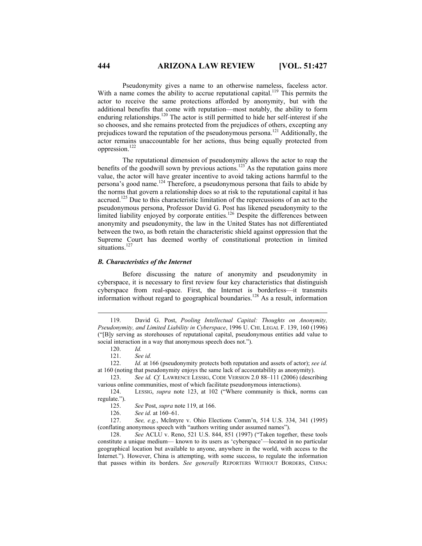Pseudonymity gives a name to an otherwise nameless, faceless actor. With a name comes the ability to accrue reputational capital.<sup>119</sup> This permits the actor to receive the same protections afforded by anonymity, but with the additional benefits that come with reputation—most notably, the ability to form enduring relationships.<sup>120</sup> The actor is still permitted to hide her self-interest if she so chooses, and she remains protected from the prejudices of others, excepting any prejudices toward the reputation of the pseudonymous persona.121 Additionally, the actor remains unaccountable for her actions, thus being equally protected from oppression.122

The reputational dimension of pseudonymity allows the actor to reap the benefits of the goodwill sown by previous actions.<sup>123</sup> As the reputation gains more value, the actor will have greater incentive to avoid taking actions harmful to the persona's good name.124 Therefore, a pseudonymous persona that fails to abide by the norms that govern a relationship does so at risk to the reputational capital it has accrued.<sup>125</sup> Due to this characteristic limitation of the repercussions of an act to the pseudonymous persona, Professor David G. Post has likened pseudonymity to the limited liability enjoyed by corporate entities.<sup>126</sup> Despite the differences between anonymity and pseudonymity, the law in the United States has not differentiated between the two, as both retain the characteristic shield against oppression that the Supreme Court has deemed worthy of constitutional protection in limited situations.<sup>127</sup>

#### *B. Characteristics of the Internet*

Before discussing the nature of anonymity and pseudonymity in cyberspace, it is necessary to first review four key characteristics that distinguish cyberspace from real-space. First, the Internet is borderless—it transmits information without regard to geographical boundaries.128 As a result, information

123. *See id. Cf.* LAWRENCE LESSIG, CODE VERSION 2.0 88–111 (2006) (describing various online communities, most of which facilitate pseudonymous interactions).

124. LESSIG, *supra* note 123, at 102 ("Where community is thick, norms can regulate.").

125. *See* Post, *supra* note 119, at 166.

126. *See id.* at 160–61.

127. *See, e.g.*, McIntyre v. Ohio Elections Comm'n, 514 U.S. 334, 341 (1995) (conflating anonymous speech with "authors writing under assumed names").

128. *See* ACLU v. Reno, 521 U.S. 844, 851 (1997) ("Taken together, these tools constitute a unique medium— known to its users as 'cyberspace'—located in no particular geographical location but available to anyone, anywhere in the world, with access to the Internet."). However, China is attempting, with some success, to regulate the information that passes within its borders. *See generally* REPORTERS WITHOUT BORDERS, CHINA:

 <sup>119.</sup> David G. Post, *Pooling Intellectual Capital: Thoughts on Anonymity, Pseudonymity, and Limited Liability in Cyberspace*, 1996 U. CHI. LEGAL F. 139, 160 (1996) ("[B]y serving as storehouses of reputational capital, pseudonymous entities add value to social interaction in a way that anonymous speech does not.").

<sup>120.</sup> *Id.*

See id.

<sup>122.</sup> *Id.* at 166 (pseudonymity protects both reputation and assets of actor); *see id.* at 160 (noting that pseudonymity enjoys the same lack of accountability as anonymity).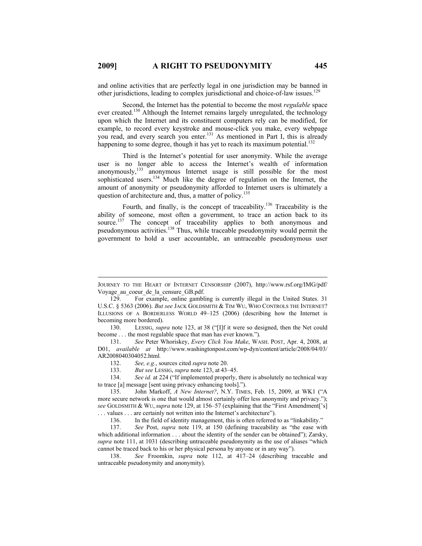and online activities that are perfectly legal in one jurisdiction may be banned in other jurisdictions, leading to complex jurisdictional and choice-of-law issues.<sup>12</sup>

Second, the Internet has the potential to become the most *regulable* space ever created.<sup>130</sup> Although the Internet remains largely unregulated, the technology upon which the Internet and its constituent computers rely can be modified, for example, to record every keystroke and mouse-click you make, every webpage you read, and every search you enter.<sup>131</sup> As mentioned in Part I, this is already happening to some degree, though it has yet to reach its maximum potential.<sup>132</sup>

Third is the Internet's potential for user anonymity. While the average user is no longer able to access the Internet's wealth of information anonymously,<sup>133</sup> anonymous Internet usage is still possible for the most sophisticated users.<sup>134</sup> Much like the degree of regulation on the Internet, the amount of anonymity or pseudonymity afforded to Internet users is ultimately a question of architecture and, thus, a matter of policy.<sup>135</sup>

Fourth, and finally, is the concept of traceability.136 Traceability is the ability of someone, most often a government, to trace an action back to its source.<sup>137</sup> The concept of traceability applies to both anonymous and pseudonymous activities.<sup>138</sup> Thus, while traceable pseudonymity would permit the government to hold a user accountable, an untraceable pseudonymous user

 $\overline{a}$ 

JOURNEY TO THE HEART OF INTERNET CENSORSHIP (2007), http://www.rsf.org/IMG/pdf/ Voyage\_au\_coeur\_de\_la\_censure\_GB.pdf.

<sup>129.</sup> For example, online gambling is currently illegal in the United States. 31 U.S.C. § 5363 (2006). *But see* JACK GOLDSMITH & TIM WU, WHO CONTROLS THE INTERNET? ILLUSIONS OF A BORDERLESS WORLD 49–125 (2006) (describing how the Internet is becoming more bordered).

<sup>130.</sup> LESSIG, *supra* note 123, at 38 ("[I]f it were so designed, then the Net could become . . . the most regulable space that man has ever known.").

<sup>131.</sup> *See* Peter Whoriskey, *Every Click You Make*, WASH. POST, Apr. 4, 2008, at D01, *available at* http://www.washingtonpost.com/wp-dyn/content/article/2008/04/03/ AR2008040304052.html*.*

<sup>132.</sup> *See, e.g.*, sources cited *supra* note 20.

<sup>133.</sup> *But see* LESSIG, *supra* note 123, at 43–45.

See *id.* at 224 ("If implemented properly, there is absolutely no technical way to trace [a] message [sent using privacy enhancing tools].").

<sup>135.</sup> John Markoff, *A New Internet?*, N.Y. TIMES, Feb. 15, 2009, at WK1 ("A more secure network is one that would almost certainly offer less anonymity and privacy."); *see* GOLDSMITH & WU, *supra* note 129, at 156–57 (explaining that the "First Amendment['s] . . . values . . . are certainly not written into the Internet's architecture").

<sup>136.</sup> In the field of identity management, this is often referred to as "linkability."

<sup>137.</sup> *See* Post, *supra* note 119, at 150 (defining traceability as "the ease with which additional information . . . about the identity of the sender can be obtained"); Zarsky, *supra* note 111, at 1031 (describing untraceable pseudonymity as the use of aliases "which cannot be traced back to his or her physical persona by anyone or in any way").

<sup>138.</sup> *See* Froomkin, *supra* note 112, at 417–24 (describing traceable and untraceable pseudonymity and anonymity).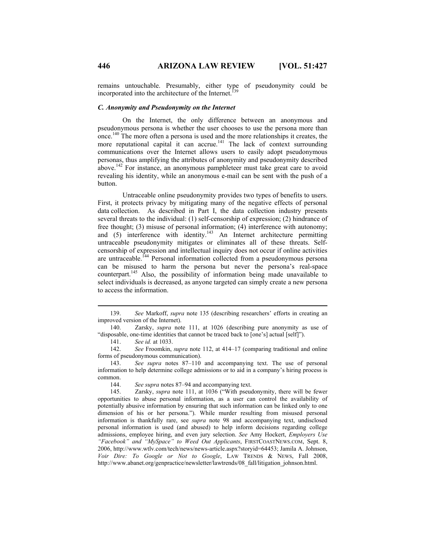remains untouchable. Presumably, either type of pseudonymity could be incorporated into the architecture of the Internet.<sup>1</sup>

#### *C. Anonymity and Pseudonymity on the Internet*

On the Internet, the only difference between an anonymous and pseudonymous persona is whether the user chooses to use the persona more than once.140 The more often a persona is used and the more relationships it creates, the more reputational capital it can accrue.<sup>141</sup> The lack of context surrounding communications over the Internet allows users to easily adopt pseudonymous personas, thus amplifying the attributes of anonymity and pseudonymity described above.142 For instance, an anonymous pamphleteer must take great care to avoid revealing his identity, while an anonymous e-mail can be sent with the push of a button.

Untraceable online pseudonymity provides two types of benefits to users. First, it protects privacy by mitigating many of the negative effects of personal data collection. As described in Part I, the data collection industry presents several threats to the individual: (1) self-censorship of expression; (2) hindrance of free thought; (3) misuse of personal information; (4) interference with autonomy; and  $(5)$  interference with identity.<sup>143</sup> An Internet architecture permitting untraceable pseudonymity mitigates or eliminates all of these threats. Selfcensorship of expression and intellectual inquiry does not occur if online activities are untraceable.<sup>144</sup> Personal information collected from a pseudonymous persona can be misused to harm the persona but never the persona's real-space counterpart.145 Also, the possibility of information being made unavailable to select individuals is decreased, as anyone targeted can simply create a new persona to access the information.

141. *See id.* at 1033.

142. *See* Froomkin, *supra* note 112, at 414–17 (comparing traditional and online forms of pseudonymous communication).

143. *See supra* notes 87–110 and accompanying text. The use of personal information to help determine college admissions or to aid in a company's hiring process is common.

144. *See supra* notes 87–94 and accompanying text.

145. Zarsky, *supra* note 111, at 1036 ("With pseudonymity, there will be fewer opportunities to abuse personal information, as a user can control the availability of potentially abusive information by ensuring that such information can be linked only to one dimension of his or her persona."). While murder resulting from misused personal information is thankfully rare, see *supra* note 98 and accompanying text, undisclosed personal information is used (and abused) to help inform decisions regarding college admissions, employee hiring, and even jury selection. *See* Amy Hockert, *Employers Use "Facebook" and "MySpace" to Weed Out Applicants*, FIRSTCOASTNEWS.COM, Sept. 8, 2006, http://www.wtlv.com/tech/news/news-article.aspx?storyid=64453; Jamila A. Johnson, *Voir Dire: To Google or Not to Google*, LAW TRENDS & NEWS, Fall 2008, http://www.abanet.org/genpractice/newsletter/lawtrends/08\_fall/litigation\_johnson.html.

 <sup>139.</sup> *See* Markoff, *supra* note 135 (describing researchers' efforts in creating an improved version of the Internet).

<sup>140.</sup> Zarsky, *supra* note 111, at 1026 (describing pure anonymity as use of "disposable, one-time identities that cannot be traced back to [one's] actual [self]").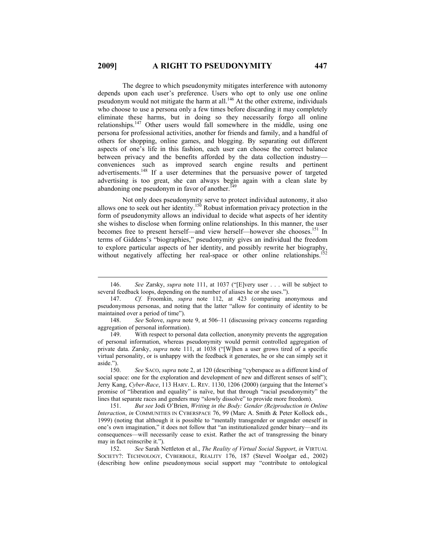The degree to which pseudonymity mitigates interference with autonomy depends upon each user's preference. Users who opt to only use one online pseudonym would not mitigate the harm at all.146 At the other extreme, individuals who choose to use a persona only a few times before discarding it may completely eliminate these harms, but in doing so they necessarily forgo all online relationships.<sup>147</sup> Other users would fall somewhere in the middle, using one persona for professional activities, another for friends and family, and a handful of others for shopping, online games, and blogging. By separating out different aspects of one's life in this fashion, each user can choose the correct balance between privacy and the benefits afforded by the data collection industry conveniences such as improved search engine results and pertinent advertisements.<sup>148</sup> If a user determines that the persuasive power of targeted advertising is too great, she can always begin again with a clean slate by abandoning one pseudonym in favor of another. $149$ 

Not only does pseudonymity serve to protect individual autonomy, it also allows one to seek out her identity.<sup>150</sup> Robust information privacy protection in the form of pseudonymity allows an individual to decide what aspects of her identity she wishes to disclose when forming online relationships. In this manner, the user becomes free to present herself—and view herself—however she chooses.<sup>151</sup> In terms of Giddens's "biographies," pseudonymity gives an individual the freedom to explore particular aspects of her identity, and possibly rewrite her biography, without negatively affecting her real-space or other online relationships.<sup>1</sup>

149. With respect to personal data collection, anonymity prevents the aggregation of personal information, whereas pseudonymity would permit controlled aggregation of private data. Zarsky, *supra* note 111, at 1038 ("[W]hen a user grows tired of a specific virtual personality, or is unhappy with the feedback it generates, he or she can simply set it aside.").

150. *See* SACO, *supra* note 2, at 120 (describing "cyberspace as a different kind of social space: one for the exploration and development of new and different senses of self"); Jerry Kang, *Cyber-Race*, 113 HARV. L. REV. 1130, 1206 (2000) (arguing that the Internet's promise of "liberation and equality" is naïve, but that through "racial pseudonymity" the lines that separate races and genders may "slowly dissolve" to provide more freedom).

151. *But see* Jodi O'Brien, *Writing in the Body: Gender (Re)production in Online Interaction*, *in* COMMUNITIES IN CYBERSPACE 76, 99 (Marc A. Smith & Peter Kollock eds., 1999) (noting that although it is possible to "mentally transgender or ungender oneself in one's own imagination," it does not follow that "an institutionalized gender binary—and its consequences—will necessarily cease to exist. Rather the act of transgressing the binary may in fact reinscribe it.").

152. *See* Sarah Nettleton et al., *The Reality of Virtual Social Support*, *in* VIRTUAL SOCIETY?: TECHNOLOGY, CYBERBOLE, REALITY 176, 187 (Stevel Woolgar ed., 2002) (describing how online pseudonymous social support may "contribute to ontological

 <sup>146.</sup> *See* Zarsky, *supra* note 111, at 1037 ("[E]very user . . . will be subject to several feedback loops, depending on the number of aliases he or she uses.").

<sup>147.</sup> *Cf.* Froomkin, *supra* note 112, at 423 (comparing anonymous and pseudonymous personas, and noting that the latter "allow for continuity of identity to be maintained over a period of time").

<sup>148.</sup> *See* Solove, *supra* note 9, at 506–11 (discussing privacy concerns regarding aggregation of personal information).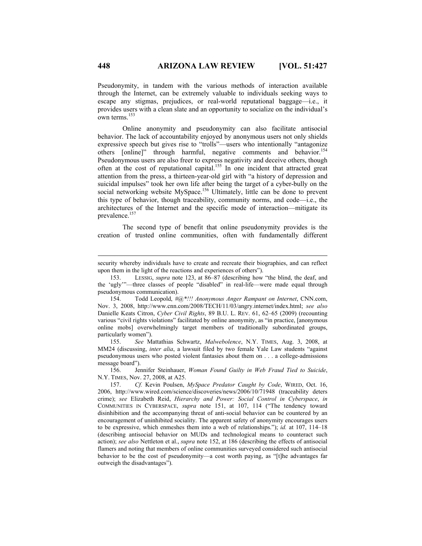Pseudonymity, in tandem with the various methods of interaction available through the Internet, can be extremely valuable to individuals seeking ways to escape any stigmas, prejudices, or real-world reputational baggage—i.e., it provides users with a clean slate and an opportunity to socialize on the individual's own terms.<sup>153</sup>

Online anonymity and pseudonymity can also facilitate antisocial behavior. The lack of accountability enjoyed by anonymous users not only shields expressive speech but gives rise to "trolls"—users who intentionally "antagonize others [online]" through harmful, negative comments and behavior.<sup>154</sup> Pseudonymous users are also freer to express negativity and deceive others, though often at the cost of reputational capital.<sup>155</sup> In one incident that attracted great attention from the press, a thirteen-year-old girl with "a history of depression and suicidal impulses" took her own life after being the target of a cyber-bully on the social networking website MySpace.<sup>156</sup> Ultimately, little can be done to prevent this type of behavior, though traceability, community norms, and code—i.e., the architectures of the Internet and the specific mode of interaction—mitigate its prevalence.<sup>157</sup>

The second type of benefit that online pseudonymity provides is the creation of trusted online communities, often with fundamentally different

155. *See* Mattathias Schwartz, *Malwebolence*, N.Y. TIMES, Aug. 3, 2008, at MM24 (discussing, *inter alia*, a lawsuit filed by two female Yale Law students "against pseudonymous users who posted violent fantasies about them on . . . a college-admissions message board").

156. Jennifer Steinhauer, *Woman Found Guilty in Web Fraud Tied to Suicide*, N.Y. TIMES, Nov. 27, 2008, at A25.

 $\overline{a}$ 

security whereby individuals have to create and recreate their biographies, and can reflect upon them in the light of the reactions and experiences of others").

<sup>153.</sup> LESSIG, *supra* note 123, at 86–87 (describing how "the blind, the deaf, and the 'ugly'"—three classes of people "disabled" in real-life—were made equal through pseudonymous communication).

<sup>154.</sup> Todd Leopold, *#@\*!!! Anonymous Anger Rampant on Internet*, CNN.com, Nov. 3, 2008, http://www.cnn.com/2008/TECH/11/03/angry.internet/index.html; *see also*  Danielle Keats Citron, *Cyber Civil Rights*, 89 B.U. L. REV. 61, 62–65 (2009) (recounting various "civil rights violations" facilitated by online anonymity, as "in practice, [anonymous online mobs] overwhelmingly target members of traditionally subordinated groups, particularly women").

<sup>157.</sup> *Cf.* Kevin Poulsen, *MySpace Predator Caught by Code*, WIRED, Oct. 16, 2006, http://www.wired.com/science/discoveries/news/2006/10/71948 (traceability deters crime); *see* Elizabeth Reid, *Hierarchy and Power: Social Control in Cyberspace*, *in*  COMMUNITIES IN CYBERSPACE, *supra* note 151, at 107, 114 ("The tendency toward disinhibition and the accompanying threat of anti-social behavior can be countered by an encouragement of uninhibited sociality. The apparent safety of anonymity encourages users to be expressive, which enmeshes them into a web of relationships."); *id.* at 107, 114–18 (describing antisocial behavior on MUDs and technological means to counteract such action); *see also* Nettleton et al., *supra* note 152, at 186 (describing the effects of antisocial flamers and noting that members of online communities surveyed considered such antisocial behavior to be the cost of pseudonymity—a cost worth paying, as "[t]he advantages far outweigh the disadvantages").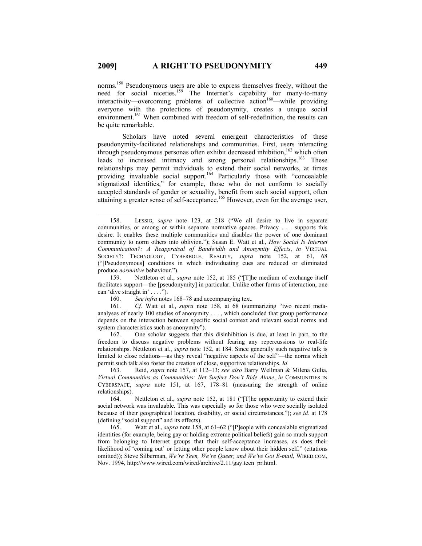norms.<sup>158</sup> Pseudonymous users are able to express themselves freely, without the need for social niceties.<sup>159</sup> The Internet's capability for many-to-many  $interactivity$ —overcoming problems of collective action<sup>160</sup>—while providing everyone with the protections of pseudonymity, creates a unique social environment.<sup>161</sup> When combined with freedom of self-redefinition, the results can be quite remarkable.

Scholars have noted several emergent characteristics of these pseudonymity-facilitated relationships and communities. First, users interacting through pseudonymous personas often exhibit decreased inhibition,<sup>162</sup> which often leads to increased intimacy and strong personal relationships.<sup>163</sup> These relationships may permit individuals to extend their social networks, at times providing invaluable social support.<sup>164</sup> Particularly those with "concealable stigmatized identities," for example, those who do not conform to socially accepted standards of gender or sexuality, benefit from such social support, often attaining a greater sense of self-acceptance.<sup>165</sup> However, even for the average user,

159. Nettleton et al., *supra* note 152, at 185 ("[T]he medium of exchange itself facilitates support—the [pseudonymity] in particular. Unlike other forms of interaction, one can 'dive straight in' . . . .").

162. One scholar suggests that this disinhibition is due, at least in part, to the freedom to discuss negative problems without fearing any repercussions to real-life relationships. Nettleton et al., *supra* note 152, at 184. Since generally such negative talk is limited to close relations—as they reveal "negative aspects of the self"—the norms which permit such talk also foster the creation of close, supportive relationships. *Id.*

163. Reid, *supra* note 157, at 112–13; *see also* Barry Wellman & Milena Gulia, *Virtual Communities as Communities: Net Surfers Don't Ride Alone*, *in* COMMUNITIES IN CYBERSPACE, *supra* note 151, at 167, 178–81 (measuring the strength of online relationships).

164. Nettleton et al., *supra* note 152, at 181 ("[T]he opportunity to extend their social network was invaluable. This was especially so for those who were socially isolated because of their geographical location, disability, or social circumstances."); *see id.* at 178 (defining "social support" and its effects).

165. Watt et al., *supra* note 158, at 61–62 ("[P]eople with concealable stigmatized identities (for example, being gay or holding extreme political beliefs) gain so much support from belonging to Internet groups that their self-acceptance increases, as does their likelihood of 'coming out' or letting other people know about their hidden self." (citations omitted)); Steve Silberman, *We're Teen, We're Queer, and We've Got E-mail*, WIRED.COM, Nov. 1994, http://www.wired.com/wired/archive/2.11/gay.teen\_pr.html.

 <sup>158.</sup> LESSIG, *supra* note 123, at 218 ("We all desire to live in separate communities, or among or within separate normative spaces. Privacy . . . supports this desire. It enables these multiple communities and disables the power of one dominant community to norm others into oblivion."); Susan E. Watt et al., *How Social Is Internet Communication?: A Reappraisal of Bandwidth and Anonymity Effects*, *in* VIRTUAL SOCIETY?: TECHNOLOGY, CYBERBOLE, REALITY, *supra* note 152, at 61, 68 ("[Pseudonymous] conditions in which individuating cues are reduced or eliminated produce *normative* behaviour.").

<sup>160.</sup> *See infra* notes 168–78 and accompanying text.

<sup>161.</sup> *Cf.* Watt et al., *supra* note 158, at 68 (summarizing "two recent metaanalyses of nearly 100 studies of anonymity . . . , which concluded that group performance depends on the interaction between specific social context and relevant social norms and system characteristics such as anonymity").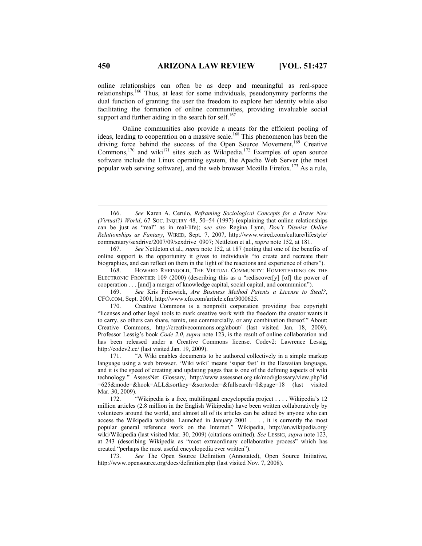online relationships can often be as deep and meaningful as real-space relationships.166 Thus, at least for some individuals, pseudonymity performs the dual function of granting the user the freedom to explore her identity while also facilitating the formation of online communities, providing invaluable social support and further aiding in the search for self. $167$ 

Online communities also provide a means for the efficient pooling of ideas, leading to cooperation on a massive scale.<sup>168</sup> This phenomenon has been the driving force behind the success of the Open Source Movement,<sup>169</sup> Creative Commons,<sup>170</sup> and wiki<sup>171</sup> sites such as Wikipedia.<sup>172</sup> Examples of open source software include the Linux operating system, the Apache Web Server (the most popular web serving software), and the web browser Mozilla Firefox.173 As a rule,

169. *See* Kris Frieswick, *Are Business Method Patents a License to Steal?*, CFO.COM, Sept. 2001, http://www.cfo.com/article.cfm/3000625.

 <sup>166.</sup> *See* Karen A. Cerulo, *Reframing Sociological Concepts for a Brave New (Virtual?) World*, 67 SOC. INQUIRY 48, 50–54 (1997) (explaining that online relationships can be just as "real" as in real-life); *see also* Regina Lynn, *Don't Dismiss Online Relationships as Fantasy*, WIRED, Sept. 7, 2007, http://www.wired.com/culture/lifestyle/ commentary/sexdrive/2007/09/sexdrive\_0907; Nettleton et al., *supra* note 152, at 181.

<sup>167.</sup> *See* Nettleton et al., *supra* note 152, at 187 (noting that one of the benefits of online support is the opportunity it gives to individuals "to create and recreate their biographies, and can reflect on them in the light of the reactions and experience of others").

<sup>168.</sup> HOWARD RHEINGOLD, THE VIRTUAL COMMUNITY: HOMESTEADING ON THE ELECTRONIC FRONTIER 109 (2000) (describing this as a "rediscover[y] [of] the power of cooperation . . . [and] a merger of knowledge capital, social capital, and communion").

<sup>170.</sup> Creative Commons is a nonprofit corporation providing free copyright "licenses and other legal tools to mark creative work with the freedom the creator wants it to carry, so others can share, remix, use commercially, or any combination thereof." About: Creative Commons, http://creativecommons.org/about/ (last visited Jan. 18, 2009). Professor Lessig's book *Code 2.0*, *supra* note 123, is the result of online collaboration and has been released under a Creative Commons license. Codev2: Lawrence Lessig, http://codev2.cc/ (last visited Jan. 19, 2009).

<sup>171. &</sup>quot;A Wiki enables documents to be authored collectively in a simple markup language using a web browser. 'Wiki wiki' means 'super fast' in the Hawaiian language, and it is the speed of creating and updating pages that is one of the defining aspects of wiki technology." AssessNet Glossary, http://www.assessnet.org.uk/mod/glossary/view.php?id =625&mode=&hook=ALL&sortkey=&sortorder=&fullsearch=0&page=18 (last visited Mar. 30, 2009).

<sup>172. &</sup>quot;Wikipedia is a free, multilingual encyclopedia project . . . . Wikipedia's 12 million articles (2.8 million in the English Wikipedia) have been written collaboratively by volunteers around the world, and almost all of its articles can be edited by anyone who can access the Wikipedia website. Launched in January 2001 . . . , it is currently the most popular general reference work on the Internet." Wikipedia, http://en.wikipedia.org/ wiki/Wikipedia (last visited Mar. 30, 2009) (citations omitted). *See* LESSIG, *supra* note 123, at 243 (describing Wikipedia as "most extraordinary collaborative process" which has created "perhaps the most useful encyclopedia ever written").

<sup>173.</sup> *See* The Open Source Definition (Annotated), Open Source Initiative, http://www.opensource.org/docs/definition.php (last visited Nov. 7, 2008).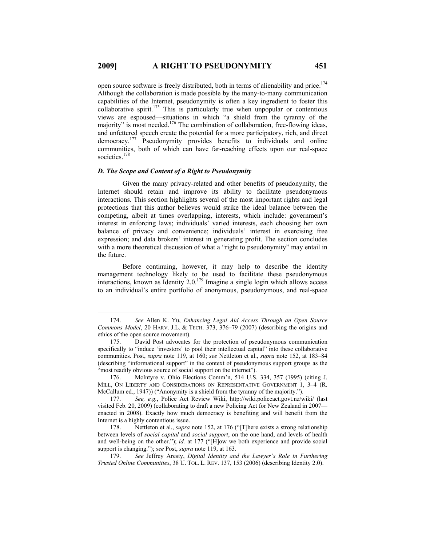open source software is freely distributed, both in terms of alienability and price.<sup>174</sup> Although the collaboration is made possible by the many-to-many communication capabilities of the Internet, pseudonymity is often a key ingredient to foster this collaborative spirit.<sup>175</sup> This is particularly true when unpopular or contentious views are espoused—situations in which "a shield from the tyranny of the majority" is most needed.<sup>176</sup> The combination of collaboration, free-flowing ideas, and unfettered speech create the potential for a more participatory, rich, and direct democracy.177 Pseudonymity provides benefits to individuals and online communities, both of which can have far-reaching effects upon our real-space societies.<sup>178</sup>

# *D. The Scope and Content of a Right to Pseudonymity*

Given the many privacy-related and other benefits of pseudonymity, the Internet should retain and improve its ability to facilitate pseudonymous interactions. This section highlights several of the most important rights and legal protections that this author believes would strike the ideal balance between the competing, albeit at times overlapping, interests, which include: government's interest in enforcing laws; individuals' varied interests, each choosing her own balance of privacy and convenience; individuals' interest in exercising free expression; and data brokers' interest in generating profit. The section concludes with a more theoretical discussion of what a "right to pseudonymity" may entail in the future.

Before continuing, however, it may help to describe the identity management technology likely to be used to facilitate these pseudonymous interactions, known as Identity 2.0.<sup>179</sup> Imagine a single login which allows access to an individual's entire portfolio of anonymous, pseudonymous, and real-space

176. McIntyre v. Ohio Elections Comm'n, 514 U.S. 334, 357 (1995) (citing J. MILL, ON LIBERTY AND CONSIDERATIONS ON REPRESENTATIVE GOVERNMENT 1, 3–4 (R. McCallum ed., 1947)) ("Anonymity is a shield from the tyranny of the majority.").

177. *See, e.g.*, Police Act Review Wiki, http://wiki.policeact.govt.nz/wiki/ (last visited Feb. 20, 2009) (collaborating to draft a new Policing Act for New Zealand in 2007 enacted in 2008). Exactly how much democracy is benefiting and will benefit from the Internet is a highly contentious issue.

178. Nettleton et al., *supra* note 152, at 176 ("[T]here exists a strong relationship between levels of *social capital* and *social support*, on the one hand, and levels of health and well-being on the other."); *id.* at 177 ("[H]ow we both experience and provide social support is changing."); *see* Post, *supra* note 119, at 163.

179. *See* Jeffrey Aresty, *Digital Identity and the Lawyer's Role in Furthering Trusted Online Communities*, 38 U. TOL. L. REV. 137, 153 (2006) (describing Identity 2.0).

 <sup>174.</sup> *See* Allen K. Yu, *Enhancing Legal Aid Access Through an Open Source Commons Model*, 20 HARV. J.L. & TECH. 373, 376–79 (2007) (describing the origins and ethics of the open source movement).

<sup>175.</sup> David Post advocates for the protection of pseudonymous communication specifically to "induce 'investors' to pool their intellectual capital" into these collaborative communities. Post, *supra* note 119, at 160; *see* Nettleton et al., *supra* note 152, at 183–84 (describing "informational support" in the context of pseudonymous support groups as the "most readily obvious source of social support on the internet").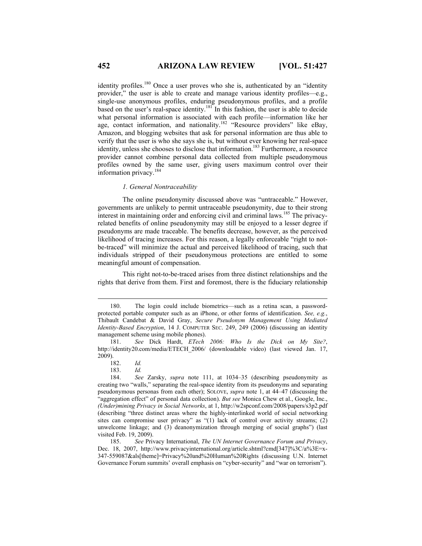identity profiles.<sup>180</sup> Once a user proves who she is, authenticated by an "identity" provider," the user is able to create and manage various identity profiles—e.g., single-use anonymous profiles, enduring pseudonymous profiles, and a profile based on the user's real-space identity.<sup>181</sup> In this fashion, the user is able to decide what personal information is associated with each profile—information like her age, contact information, and nationality.<sup>182</sup> "Resource providers" like eBay, Amazon, and blogging websites that ask for personal information are thus able to verify that the user is who she says she is, but without ever knowing her real-space identity, unless she chooses to disclose that information.<sup>183</sup> Furthermore, a resource provider cannot combine personal data collected from multiple pseudonymous profiles owned by the same user, giving users maximum control over their information privacy.<sup>184</sup>

#### *1. General Nontraceability*

The online pseudonymity discussed above was "untraceable." However, governments are unlikely to permit untraceable pseudonymity, due to their strong interest in maintaining order and enforcing civil and criminal laws.185 The privacyrelated benefits of online pseudonymity may still be enjoyed to a lesser degree if pseudonyms are made traceable. The benefits decrease, however, as the perceived likelihood of tracing increases. For this reason, a legally enforceable "right to notbe-traced" will minimize the actual and perceived likelihood of tracing, such that individuals stripped of their pseudonymous protections are entitled to some meaningful amount of compensation.

This right not-to-be-traced arises from three distinct relationships and the rights that derive from them. First and foremost, there is the fiduciary relationship

 <sup>180.</sup> The login could include biometrics—such as a retina scan, a passwordprotected portable computer such as an iPhone, or other forms of identification. *See, e.g.*, Thibault Candebat & David Gray, *Secure Pseudonym Management Using Mediated Identity-Based Encryption*, 14 J. COMPUTER SEC. 249, 249 (2006) (discussing an identity management scheme using mobile phones).

<sup>181.</sup> *See* Dick Hardt, *ETech 2006: Who Is the Dick on My Site?*, http://identity20.com/media/ETECH\_2006/ (downloadable video) (last viewed Jan. 17, 2009).

<sup>182.</sup> *Id.*

<sup>183.</sup> *Id.*

<sup>184.</sup> *See* Zarsky, *supra* note 111, at 1034–35 (describing pseudonymity as creating two "walls," separating the real-space identity from its pseudonyms and separating pseudonymous personas from each other); SOLOVE, *supra* note 1, at 44–47 (discussing the "aggregation effect" of personal data collection). *But see* Monica Chew et al., Google, Inc., *(Under)mining Privacy in Social Networks*, at 1, http://w2spconf.com/2008/papers/s3p2.pdf (describing "three distinct areas where the highly-interlinked world of social networking sites can compromise user privacy" as "(1) lack of control over activity streams; (2) unwelcome linkage; and (3) deanonymization through merging of social graphs") (last visited Feb. 19, 2009).

<sup>185.</sup> *See* Privacy International, *The UN Internet Governance Forum and Privacy*, Dec. 18, 2007, http://www.privacyinternational.org/article.shtml?cmd[347]%3C/a%3E=x-347-559087&als[theme]=Privacy%20and%20Human%20Rights (discussing U.N. Internet Governance Forum summits' overall emphasis on "cyber-security" and "war on terrorism").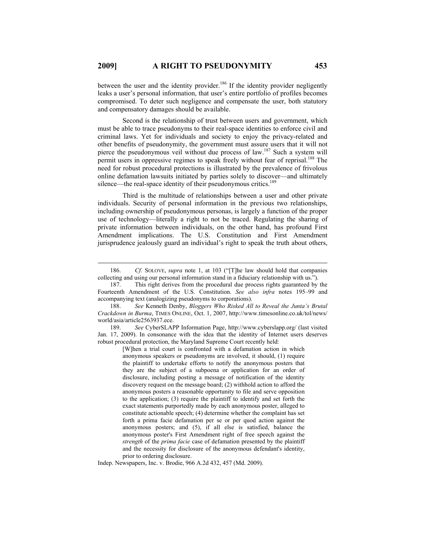between the user and the identity provider.<sup>186</sup> If the identity provider negligently leaks a user's personal information, that user's entire portfolio of profiles becomes compromised. To deter such negligence and compensate the user, both statutory and compensatory damages should be available.

Second is the relationship of trust between users and government, which must be able to trace pseudonyms to their real-space identities to enforce civil and criminal laws. Yet for individuals and society to enjoy the privacy-related and other benefits of pseudonymity, the government must assure users that it will not pierce the pseudonymous veil without due process of law.<sup>187</sup> Such a system will permit users in oppressive regimes to speak freely without fear of reprisal.<sup>188</sup> The need for robust procedural protections is illustrated by the prevalence of frivolous online defamation lawsuits initiated by parties solely to discover—and ultimately silence—the real-space identity of their pseudonymous critics.<sup>189</sup>

Third is the multitude of relationships between a user and other private individuals. Security of personal information in the previous two relationships, including ownership of pseudonymous personas, is largely a function of the proper use of technology—literally a right to not be traced. Regulating the sharing of private information between individuals, on the other hand, has profound First Amendment implications. The U.S. Constitution and First Amendment jurisprudence jealously guard an individual's right to speak the truth about others,

189. *See* CyberSLAPP Information Page, http://www.cyberslapp.org/ (last visited Jan. 17, 2009). In consonance with the idea that the identity of Internet users deserves robust procedural protection, the Maryland Supreme Court recently held:

[W]hen a trial court is confronted with a defamation action in which anonymous speakers or pseudonyms are involved, it should, (1) require the plaintiff to undertake efforts to notify the anonymous posters that they are the subject of a subpoena or application for an order of disclosure, including posting a message of notification of the identity discovery request on the message board; (2) withhold action to afford the anonymous posters a reasonable opportunity to file and serve opposition to the application; (3) require the plaintiff to identify and set forth the exact statements purportedly made by each anonymous poster, alleged to constitute actionable speech; (4) determine whether the complaint has set forth a prima facie defamation per se or per quod action against the anonymous posters; and (5), if all else is satisfied, balance the anonymous poster's First Amendment right of free speech against the *strength* of the *prima facie* case of defamation presented by the plaintiff and the necessity for disclosure of the anonymous defendant's identity, prior to ordering disclosure.

Indep. Newspapers, Inc. v. Brodie, 966 A.2d 432, 457 (Md. 2009).

 <sup>186.</sup> *Cf.* SOLOVE, *supra* note 1, at 103 ("[T]he law should hold that companies collecting and using our personal information stand in a fiduciary relationship with us.").

<sup>187.</sup> This right derives from the procedural due process rights guaranteed by the Fourteenth Amendment of the U.S. Constitution. *See also infra* notes 195–99 and accompanying text (analogizing pseudonyms to corporations).

<sup>188.</sup> *See* Kenneth Denby, *Bloggers Who Risked All to Reveal the Junta's Brutal Crackdown in Burma*, TIMES ONLINE, Oct. 1, 2007, http://www.timesonline.co.uk/tol/news/ world/asia/article2563937.ece.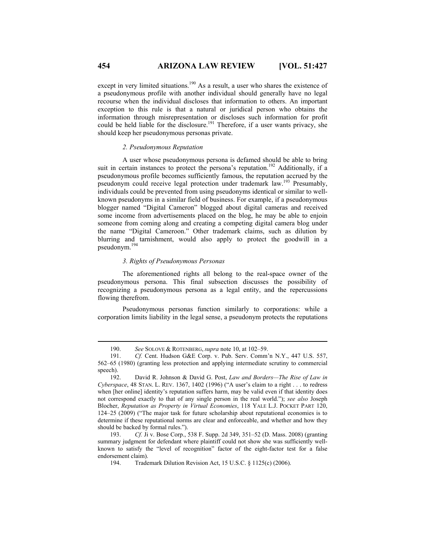except in very limited situations.<sup>190</sup> As a result, a user who shares the existence of a pseudonymous profile with another individual should generally have no legal recourse when the individual discloses that information to others. An important exception to this rule is that a natural or juridical person who obtains the information through misrepresentation or discloses such information for profit could be held liable for the disclosure.<sup>191</sup> Therefore, if a user wants privacy, she should keep her pseudonymous personas private.

#### *2. Pseudonymous Reputation*

A user whose pseudonymous persona is defamed should be able to bring suit in certain instances to protect the persona's reputation.<sup>192</sup> Additionally, if a pseudonymous profile becomes sufficiently famous, the reputation accrued by the pseudonym could receive legal protection under trademark law.193 Presumably, individuals could be prevented from using pseudonyms identical or similar to wellknown pseudonyms in a similar field of business. For example, if a pseudonymous blogger named "Digital Cameron" blogged about digital cameras and received some income from advertisements placed on the blog, he may be able to enjoin someone from coming along and creating a competing digital camera blog under the name "Digital Cameroon." Other trademark claims, such as dilution by blurring and tarnishment, would also apply to protect the goodwill in a pseudonym.<sup>194</sup>

# *3. Rights of Pseudonymous Personas*

The aforementioned rights all belong to the real-space owner of the pseudonymous persona. This final subsection discusses the possibility of recognizing a pseudonymous persona as a legal entity, and the repercussions flowing therefrom.

Pseudonymous personas function similarly to corporations: while a corporation limits liability in the legal sense, a pseudonym protects the reputations

 <sup>190.</sup> *See* SOLOVE & ROTENBERG, *supra* note 10, at 102–59.

Cf. Cent. Hudson G&E Corp. v. Pub. Serv. Comm'n N.Y., 447 U.S. 557, 562–65 (1980) (granting less protection and applying intermediate scrutiny to commercial speech).

<sup>192.</sup> David R. Johnson & David G. Post, *Law and Borders—The Rise of Law in Cyberspace*, 48 STAN. L. REV. 1367, 1402 (1996) ("A user's claim to a right . . . to redress when [her online] identity's reputation suffers harm, may be valid even if that identity does not correspond exactly to that of any single person in the real world."); *see also* Joseph Blocher, *Reputation as Property in Virtual Economies*, 118 YALE L.J. POCKET PART 120, 124–25 (2009) ("The major task for future scholarship about reputational economies is to determine if these reputational norms are clear and enforceable, and whether and how they should be backed by formal rules.").

<sup>193.</sup> *Cf.* Ji v. Bose Corp., 538 F. Supp. 2d 349, 351–52 (D. Mass. 2008) (granting summary judgment for defendant where plaintiff could not show she was sufficiently wellknown to satisfy the "level of recognition" factor of the eight-factor test for a false endorsement claim).

<sup>194.</sup> Trademark Dilution Revision Act, 15 U.S.C. § 1125(c) (2006).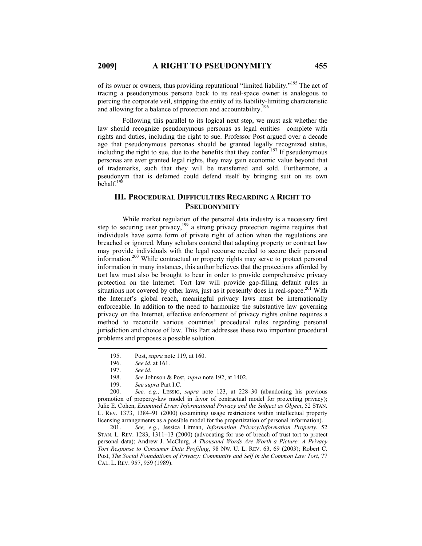of its owner or owners, thus providing reputational "limited liability."195 The act of tracing a pseudonymous persona back to its real-space owner is analogous to piercing the corporate veil, stripping the entity of its liability-limiting characteristic and allowing for a balance of protection and accountability.<sup>196</sup>

Following this parallel to its logical next step, we must ask whether the law should recognize pseudonymous personas as legal entities—complete with rights and duties, including the right to sue. Professor Post argued over a decade ago that pseudonymous personas should be granted legally recognized status, including the right to sue, due to the benefits that they confer.<sup>197</sup> If pseudonymous personas are ever granted legal rights, they may gain economic value beyond that of trademarks, such that they will be transferred and sold. Furthermore, a pseudonym that is defamed could defend itself by bringing suit on its own behalf.198

# **III. PROCEDURAL DIFFICULTIES REGARDING A RIGHT TO PSEUDONYMITY**

While market regulation of the personal data industry is a necessary first step to securing user privacy,<sup>199</sup> a strong privacy protection regime requires that individuals have some form of private right of action when the regulations are breached or ignored. Many scholars contend that adapting property or contract law may provide individuals with the legal recourse needed to secure their personal information.200 While contractual or property rights may serve to protect personal information in many instances, this author believes that the protections afforded by tort law must also be brought to bear in order to provide comprehensive privacy protection on the Internet. Tort law will provide gap-filling default rules in situations not covered by other laws, just as it presently does in real-space.<sup>201</sup> With the Internet's global reach, meaningful privacy laws must be internationally enforceable. In addition to the need to harmonize the substantive law governing privacy on the Internet, effective enforcement of privacy rights online requires a method to reconcile various countries' procedural rules regarding personal jurisdiction and choice of law. This Part addresses these two important procedural problems and proposes a possible solution.

200. *See, e.g.*, LESSIG, *supra* note 123, at 228–30 (abandoning his previous promotion of property-law model in favor of contractual model for protecting privacy); Julie E. Cohen, *Examined Lives: Informational Privacy and the Subject as Object*, 52 STAN. L. REV. 1373, 1384–91 (2000) (examining usage restrictions within intellectual property licensing arrangements as a possible model for the propertization of personal information).

201. *See, e.g.*, Jessica Litman, *Information Privacy/Information Property*, 52 STAN. L. REV. 1283, 1311–13 (2000) (advocating for use of breach of trust tort to protect personal data); Andrew J. McClurg, *A Thousand Words Are Worth a Picture: A Privacy Tort Response to Consumer Data Profiling*, 98 NW. U. L. REV. 63, 69 (2003); Robert C. Post, *The Social Foundations of Privacy: Community and Self in the Common Law Tort*, 77 CAL. L. REV. 957, 959 (1989).

 <sup>195.</sup> Post, *supra* note 119, at 160.

<sup>196.</sup> *See id.* at 161.

<sup>197.</sup> *See id.*

<sup>198.</sup> *See* Johnson & Post, *supra* note 192, at 1402.

<sup>199.</sup> *See supra* Part I.C.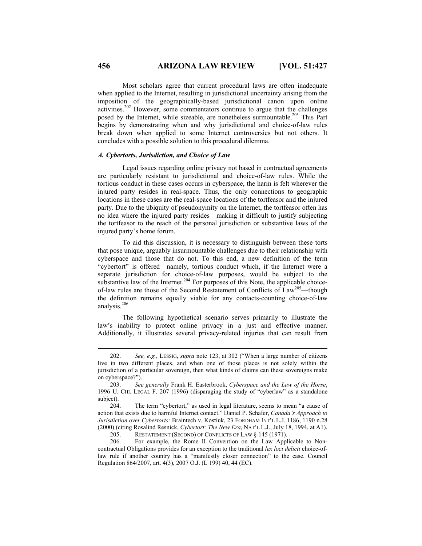Most scholars agree that current procedural laws are often inadequate when applied to the Internet, resulting in jurisdictional uncertainty arising from the imposition of the geographically-based jurisdictional canon upon online activities.202 However, some commentators continue to argue that the challenges posed by the Internet, while sizeable, are nonetheless surmountable.<sup>203</sup> This Part begins by demonstrating when and why jurisdictional and choice-of-law rules break down when applied to some Internet controversies but not others. It concludes with a possible solution to this procedural dilemma.

### *A. Cybertorts, Jurisdiction, and Choice of Law*

Legal issues regarding online privacy not based in contractual agreements are particularly resistant to jurisdictional and choice-of-law rules. While the tortious conduct in these cases occurs in cyberspace, the harm is felt wherever the injured party resides in real-space. Thus, the only connections to geographic locations in these cases are the real-space locations of the tortfeasor and the injured party. Due to the ubiquity of pseudonymity on the Internet, the tortfeasor often has no idea where the injured party resides—making it difficult to justify subjecting the tortfeasor to the reach of the personal jurisdiction or substantive laws of the injured party's home forum.

To aid this discussion, it is necessary to distinguish between these torts that pose unique, arguably insurmountable challenges due to their relationship with cyberspace and those that do not. To this end, a new definition of the term "cybertort" is offered—namely, tortious conduct which, if the Internet were a separate jurisdiction for choice-of-law purposes, would be subject to the substantive law of the Internet.<sup>204</sup> For purposes of this Note, the applicable choiceof-law rules are those of the Second Restatement of Conflicts of Law<sup>205</sup>—though the definition remains equally viable for any contacts-counting choice-of-law analysis.<sup>206</sup>

The following hypothetical scenario serves primarily to illustrate the law's inability to protect online privacy in a just and effective manner. Additionally, it illustrates several privacy-related injuries that can result from

 <sup>202.</sup> *See, e.g.*, LESSIG, *supra* note 123, at 302 ("When a large number of citizens live in two different places, and when one of those places is not solely within the jurisdiction of a particular sovereign, then what kinds of claims can these sovereigns make on cyberspace?").

<sup>203.</sup> *See generally* Frank H. Easterbrook, *Cyberspace and the Law of the Horse*, 1996 U. CHI. LEGAL F. 207 (1996) (disparaging the study of "cyberlaw" as a standalone subject).

<sup>204.</sup> The term "cybertort," as used in legal literature, seems to mean "a cause of action that exists due to harmful Internet contact." Daniel P. Schafer, *Canada's Approach to Jurisdiction over Cybertorts:* Braintech v. Kostiuk, 23 FORDHAM INT'L L.J. 1186, 1190 n.28 (2000) (citing Rosalind Resnick, *Cybertort: The New Era*, NAT'L L.J., July 18, 1994, at A1).

<sup>205.</sup> RESTATEMENT (SECOND) OF CONFLICTS OF LAW § 145 (1971).

<sup>206.</sup> For example, the Rome II Convention on the Law Applicable to Noncontractual Obligations provides for an exception to the traditional *lex loci delicti* choice-oflaw rule if another country has a "manifestly closer connection" to the case. Council Regulation 864/2007, art. 4(3), 2007 O.J. (L 199) 40, 44 (EC).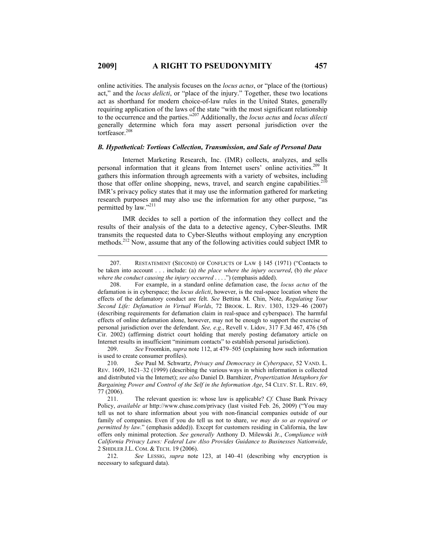online activities. The analysis focuses on the *locus actus*, or "place of the (tortious) act," and the *locus delicti*, or "place of the injury." Together, these two locations act as shorthand for modern choice-of-law rules in the United States, generally requiring application of the laws of the state "with the most significant relationship to the occurrence and the parties."207 Additionally, the *locus actus* and *locus dilecti* generally determine which fora may assert personal jurisdiction over the tortfeasor.<sup>208</sup>

# *B. Hypothetical: Tortious Collection, Transmission, and Sale of Personal Data*

Internet Marketing Research, Inc. (IMR) collects, analyzes, and sells personal information that it gleans from Internet users' online activities.<sup>209</sup> It gathers this information through agreements with a variety of websites, including those that offer online shopping, news, travel, and search engine capabilities. $210$ IMR's privacy policy states that it may use the information gathered for marketing research purposes and may also use the information for any other purpose, "as permitted by law."<sup>211</sup>

IMR decides to sell a portion of the information they collect and the results of their analysis of the data to a detective agency, Cyber-Sleuths. IMR transmits the requested data to Cyber-Sleuths without employing any encryption methods.212 Now, assume that any of the following activities could subject IMR to

209. *See* Froomkin, *supra* note 112, at 479–505 (explaining how such information is used to create consumer profiles).

 <sup>207.</sup> RESTATEMENT (SECOND) OF CONFLICTS OF LAW § 145 (1971) ("Contacts to be taken into account . . . include: (a) *the place where the injury occurred*, (b) *the place where the conduct causing the injury occurred* . . . .") (emphasis added).

<sup>208.</sup> For example, in a standard online defamation case, the *locus actus* of the defamation is in cyberspace; the *locus delicti*, however, is the real-space location where the effects of the defamatory conduct are felt. *See* Bettina M. Chin, Note, *Regulating Your Second Life: Defamation in Virtual Worlds*, 72 BROOK. L. REV. 1303, 1329–46 (2007) (describing requirements for defamation claim in real-space and cyberspace). The harmful effects of online defamation alone, however, may not be enough to support the exercise of personal jurisdiction over the defendant. *See, e.g.*, Revell v. Lidov, 317 F.3d 467, 476 (5th Cir. 2002) (affirming district court holding that merely posting defamatory article on Internet results in insufficient "minimum contacts" to establish personal jurisdiction).

<sup>210.</sup> *See* Paul M. Schwartz, *Privacy and Democracy in Cyberspace*, 52 VAND. L. REV. 1609, 1621–32 (1999) (describing the various ways in which information is collected and distributed via the Internet); *see also* Daniel D. Barnhizer, *Propertization Metaphors for Bargaining Power and Control of the Self in the Information Age*, 54 CLEV. ST. L. REV. 69, 77 (2006).

<sup>211.</sup> The relevant question is: whose law is applicable? *Cf.* Chase Bank Privacy Policy, *available at* http://www.chase.com/privacy (last visited Feb. 26, 2009) ("You may tell us not to share information about you with non-financial companies outside of our family of companies. Even if you do tell us not to share, *we may do so as required or permitted by law.*" (emphasis added)). Except for customers residing in California, the law offers only minimal protection. *See generally* Anthony D. Milewski Jr., *Compliance with California Privacy Laws: Federal Law Also Provides Guidance to Businesses Nationwide*, 2 SHIDLER J.L. COM. & TECH. 19 (2006).

<sup>212.</sup> *See* LESSIG, *supra* note 123, at 140–41 (describing why encryption is necessary to safeguard data).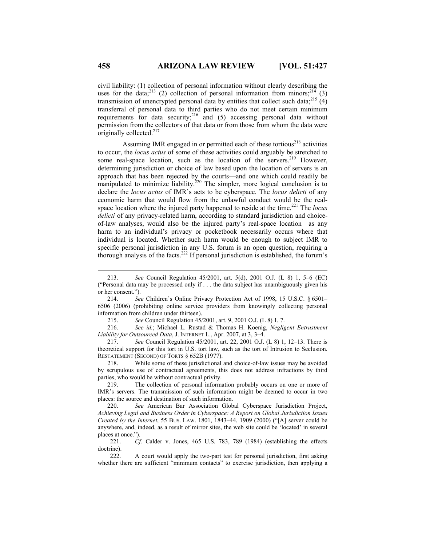civil liability: (1) collection of personal information without clearly describing the uses for the data;<sup>213</sup> (2) collection of personal information from minors;<sup>214</sup> (3) transmission of unencrypted personal data by entities that collect such data;<sup>215</sup>  $(4)$ transferral of personal data to third parties who do not meet certain minimum requirements for data security;<sup>216</sup> and (5) accessing personal data without permission from the collectors of that data or from those from whom the data were originally collected.<sup>217</sup>

Assuming IMR engaged in or permitted each of these tortious<sup>218</sup> activities to occur, the *locus actus* of some of these activities could arguably be stretched to some real-space location, such as the location of the servers.<sup>219</sup> However, determining jurisdiction or choice of law based upon the location of servers is an approach that has been rejected by the courts—and one which could readily be manipulated to minimize liability.<sup>220</sup> The simpler, more logical conclusion is to declare the *locus actus* of IMR's acts to be cyberspace. The *locus delicti* of any economic harm that would flow from the unlawful conduct would be the realspace location where the injured party happened to reside at the time.<sup>221</sup> The *locus delicti* of any privacy-related harm, according to standard jurisdiction and choiceof-law analyses, would also be the injured party's real-space location—as any harm to an individual's privacy or pocketbook necessarily occurs where that individual is located. Whether such harm would be enough to subject IMR to specific personal jurisdiction in any U.S. forum is an open question, requiring a thorough analysis of the facts.222 If personal jurisdiction is established, the forum's

215. *See* Council Regulation 45/2001, art. 9, 2001 O.J. (L 8) 1, 7.

216. *See id.*; Michael L. Rustad & Thomas H. Koenig, *Negligent Entrustment Liability for Outsourced Data*, J. INTERNET L., Apr. 2007, at 3, 3–4.

217. *See* Council Regulation 45/2001, art. 22, 2001 O.J. (L 8) 1, 12–13. There is theoretical support for this tort in U.S. tort law, such as the tort of Intrusion to Seclusion. RESTATEMENT (SECOND) OF TORTS § 652B (1977).

218. While some of these jurisdictional and choice-of-law issues may be avoided by scrupulous use of contractual agreements, this does not address infractions by third parties, who would be without contractual privity.

219. The collection of personal information probably occurs on one or more of IMR's servers. The transmission of such information might be deemed to occur in two places: the source and destination of such information.

220. *See* American Bar Association Global Cyberspace Jurisdiction Project, *Achieving Legal and Business Order in Cyberspace: A Report on Global Jurisdiction Issues Created by the Internet*, 55 BUS. LAW. 1801, 1843–44, 1909 (2000) ("[A] server could be anywhere, and, indeed, as a result of mirror sites, the web site could be 'located' in several places at once.").

221. *Cf.* Calder v. Jones, 465 U.S. 783, 789 (1984) (establishing the effects doctrine).

222. A court would apply the two-part test for personal jurisdiction, first asking whether there are sufficient "minimum contacts" to exercise jurisdiction, then applying a

 <sup>213.</sup> *See* Council Regulation 45/2001, art. 5(d), 2001 O.J. (L 8) 1, 5–6 (EC) ("Personal data may be processed only if . . . the data subject has unambiguously given his or her consent.").

<sup>214.</sup> *See* Children's Online Privacy Protection Act of 1998, 15 U.S.C. § 6501– 6506 (2006) (prohibiting online service providers from knowingly collecting personal information from children under thirteen).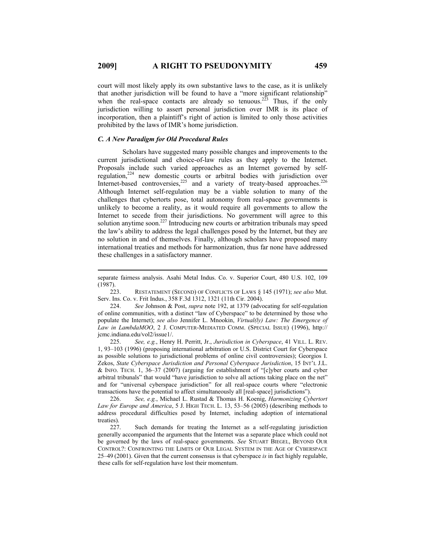court will most likely apply its own substantive laws to the case, as it is unlikely that another jurisdiction will be found to have a "more significant relationship" when the real-space contacts are already so tenuous.<sup>223</sup> Thus, if the only jurisdiction willing to assert personal jurisdiction over IMR is its place of incorporation, then a plaintiff's right of action is limited to only those activities prohibited by the laws of IMR's home jurisdiction.

#### *C. A New Paradigm for Old Procedural Rules*

 $\overline{a}$ 

Scholars have suggested many possible changes and improvements to the current jurisdictional and choice-of-law rules as they apply to the Internet. Proposals include such varied approaches as an Internet governed by selfregulation,<sup>224</sup> new domestic courts or arbitral bodies with jurisdiction over Internet-based controversies,<sup>225</sup> and a variety of treaty-based approaches.<sup>226</sup> Although Internet self-regulation may be a viable solution to many of the challenges that cybertorts pose, total autonomy from real-space governments is unlikely to become a reality, as it would require all governments to allow the Internet to secede from their jurisdictions. No government will agree to this solution anytime soon.<sup>227</sup> Introducing new courts or arbitration tribunals may speed the law's ability to address the legal challenges posed by the Internet, but they are no solution in and of themselves. Finally, although scholars have proposed many international treaties and methods for harmonization, thus far none have addressed these challenges in a satisfactory manner.

225. *See, e.g.*, Henry H. Perritt, Jr., *Jurisdiction in Cyberspace*, 41 VILL. L. REV. 1, 93–103 (1996) (proposing international arbitration or U.S. District Court for Cyberspace as possible solutions to jurisdictional problems of online civil controversies); Georgios I. Zekos, *State Cyberspace Jurisdiction and Personal Cyberspace Jurisdiction*, 15 INT'L J.L. & INFO. TECH. 1, 36–37 (2007) (arguing for establishment of "[c]yber courts and cyber arbitral tribunals" that would "have jurisdiction to solve all actions taking place on the net" and for "universal cyberspace jurisdiction" for all real-space courts where "electronic transactions have the potential to affect simultaneously all [real-space] jurisdictions").

226. *See, e.g.*, Michael L. Rustad & Thomas H. Koenig, *Harmonizing Cybertort Law for Europe and America*, 5 J. HIGH TECH. L. 13, 53–56 (2005) (describing methods to address procedural difficulties posed by Internet, including adoption of international treaties).

227. Such demands for treating the Internet as a self-regulating jurisdiction generally accompanied the arguments that the Internet was a separate place which could not be governed by the laws of real-space governments. *See* STUART BIEGEL, BEYOND OUR CONTROL?: CONFRONTING THE LIMITS OF OUR LEGAL SYSTEM IN THE AGE OF CYBERSPACE 25–49 (2001). Given that the current consensus is that cyberspace *is* in fact highly regulable, these calls for self-regulation have lost their momentum.

separate fairness analysis. Asahi Metal Indus. Co. v. Superior Court, 480 U.S. 102, 109 (1987).

<sup>223.</sup> RESTATEMENT (SECOND) OF CONFLICTS OF LAWS § 145 (1971); *see also* Mut. Serv. Ins. Co. v. Frit Indus., 358 F.3d 1312, 1321 (11th Cir. 2004).

<sup>224.</sup> *See* Johnson & Post, *supra* note 192, at 1379 (advocating for self-regulation of online communities, with a distinct "law of Cyberspace" to be determined by those who populate the Internet); *see also* Jennifer L. Mnookin, *Virtual(ly) Law: The Emergence of Law in LambdaMOO*, 2 J. COMPUTER-MEDIATED COMM. (SPECIAL ISSUE) (1996), http:// jcmc.indiana.edu/vol2/issue1/.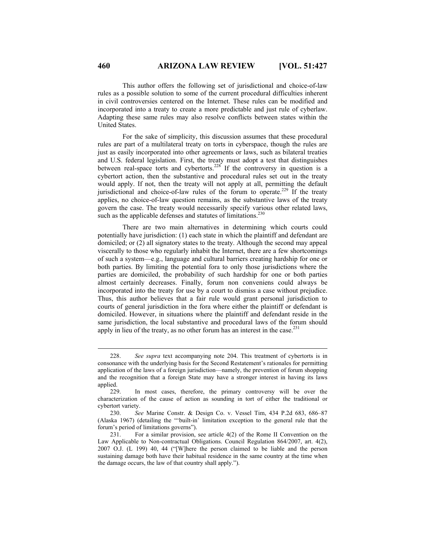This author offers the following set of jurisdictional and choice-of-law rules as a possible solution to some of the current procedural difficulties inherent in civil controversies centered on the Internet. These rules can be modified and incorporated into a treaty to create a more predictable and just rule of cyberlaw. Adapting these same rules may also resolve conflicts between states within the United States.

For the sake of simplicity, this discussion assumes that these procedural rules are part of a multilateral treaty on torts in cyberspace, though the rules are just as easily incorporated into other agreements or laws, such as bilateral treaties and U.S. federal legislation. First, the treaty must adopt a test that distinguishes between real-space torts and cybertorts.<sup>228</sup> If the controversy in question is a cybertort action, then the substantive and procedural rules set out in the treaty would apply. If not, then the treaty will not apply at all, permitting the default jurisdictional and choice-of-law rules of the forum to operate.<sup>229</sup> If the treaty applies, no choice-of-law question remains, as the substantive laws of the treaty govern the case. The treaty would necessarily specify various other related laws, such as the applicable defenses and statutes of limitations.<sup>230</sup>

There are two main alternatives in determining which courts could potentially have jurisdiction: (1) each state in which the plaintiff and defendant are domiciled; or (2) all signatory states to the treaty. Although the second may appeal viscerally to those who regularly inhabit the Internet, there are a few shortcomings of such a system—e.g., language and cultural barriers creating hardship for one or both parties. By limiting the potential fora to only those jurisdictions where the parties are domiciled, the probability of such hardship for one or both parties almost certainly decreases. Finally, forum non conveniens could always be incorporated into the treaty for use by a court to dismiss a case without prejudice. Thus, this author believes that a fair rule would grant personal jurisdiction to courts of general jurisdiction in the fora where either the plaintiff or defendant is domiciled. However, in situations where the plaintiff and defendant reside in the same jurisdiction, the local substantive and procedural laws of the forum should apply in lieu of the treaty, as no other forum has an interest in the case.<sup>231</sup>

 <sup>228.</sup> *See supra* text accompanying note 204. This treatment of cybertorts is in consonance with the underlying basis for the Second Restatement's rationales for permitting application of the laws of a foreign jurisdiction—namely, the prevention of forum shopping and the recognition that a foreign State may have a stronger interest in having its laws applied.

<sup>229.</sup> In most cases, therefore, the primary controversy will be over the characterization of the cause of action as sounding in tort of either the traditional or cybertort variety.

<sup>230.</sup> *See* Marine Constr. & Design Co. v. Vessel Tim, 434 P.2d 683, 686–87 (Alaska 1967) (detailing the "'built-in' limitation exception to the general rule that the forum's period of limitations governs").

<sup>231.</sup> For a similar provision, see article 4(2) of the Rome II Convention on the Law Applicable to Non-contractual Obligations. Council Regulation 864/2007, art. 4(2), 2007 O.J. (L 199) 40, 44 ("[W]here the person claimed to be liable and the person sustaining damage both have their habitual residence in the same country at the time when the damage occurs, the law of that country shall apply.").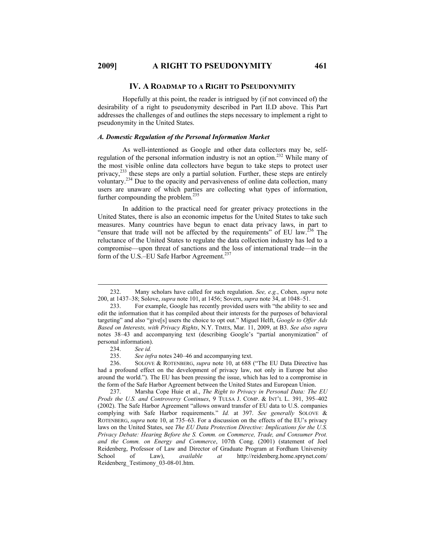#### **IV. A ROADMAP TO A RIGHT TO PSEUDONYMITY**

Hopefully at this point, the reader is intrigued by (if not convinced of) the desirability of a right to pseudonymity described in Part II.D above. This Part addresses the challenges of and outlines the steps necessary to implement a right to pseudonymity in the United States.

# *A. Domestic Regulation of the Personal Information Market*

As well-intentioned as Google and other data collectors may be, selfregulation of the personal information industry is not an option.232 While many of the most visible online data collectors have begun to take steps to protect user privacy,<sup>233</sup> these steps are only a partial solution. Further, these steps are entirely voluntary.<sup>234</sup> Due to the opacity and pervasiveness of online data collection, many users are unaware of which parties are collecting what types of information, further compounding the problem. $^{235}$ 

In addition to the practical need for greater privacy protections in the United States, there is also an economic impetus for the United States to take such measures. Many countries have begun to enact data privacy laws, in part to "ensure that trade will not be affected by the requirements" of EU law. $^{236}$  The reluctance of the United States to regulate the data collection industry has led to a compromise—upon threat of sanctions and the loss of international trade—in the form of the U.S.–EU Safe Harbor Agreement.<sup>237</sup>

237. Marsha Cope Huie et al., *The Right to Privacy in Personal Data: The EU Prods the U.S. and Controversy Continues*, 9 TULSA J. COMP. & INT'L L. 391, 395–402 (2002). The Safe Harbor Agreement "allows onward transfer of EU data to U.S. companies complying with Safe Harbor requirements." *Id.* at 397. *See generally* SOLOVE & ROTENBERG, *supra* note 10, at 735–63. For a discussion on the effects of the EU's privacy laws on the United States, see *The EU Data Protection Directive: Implications for the U.S. Privacy Debate: Hearing Before the S. Comm. on Commerce, Trade, and Consumer Prot. and the Comm. on Energy and Commerce*, 107th Cong. (2001) (statement of Joel Reidenberg, Professor of Law and Director of Graduate Program at Fordham University School of Law), *available at* http://reidenberg.home.sprynet.com/ Reidenberg\_Testimony\_03-08-01.htm.

 <sup>232.</sup> Many scholars have called for such regulation. *See, e.g.*, Cohen, *supra* note 200, at 1437–38; Solove, *supra* note 101, at 1456; Sovern, *supra* note 34, at 1048–51.

<sup>233.</sup> For example, Google has recently provided users with "the ability to see and edit the information that it has compiled about their interests for the purposes of behavioral targeting" and also "give[s] users the choice to opt out." Miguel Helft, *Google to Offer Ads Based on Interests, with Privacy Rights*, N.Y. TIMES, Mar. 11, 2009, at B3. *See also supra*  notes 38–43 and accompanying text (describing Google's "partial anonymization" of personal information).

<sup>234.</sup> *See id.*

See infra notes 240–46 and accompanying text.

<sup>236.</sup> SOLOVE & ROTENBERG, *supra* note 10, at 688 ("The EU Data Directive has had a profound effect on the development of privacy law, not only in Europe but also around the world."). The EU has been pressing the issue, which has led to a compromise in the form of the Safe Harbor Agreement between the United States and European Union.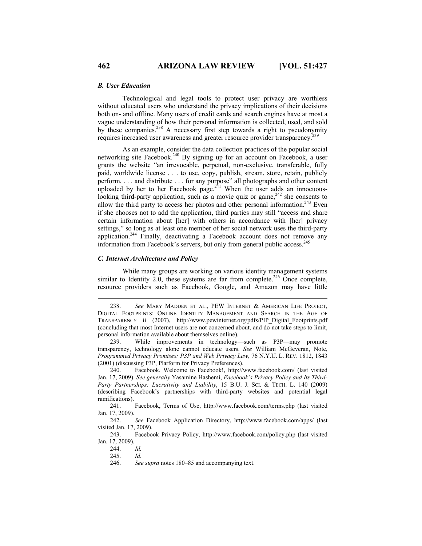#### *B. User Education*

Technological and legal tools to protect user privacy are worthless without educated users who understand the privacy implications of their decisions both on- and offline. Many users of credit cards and search engines have at most a vague understanding of how their personal information is collected, used, and sold by these companies.<sup>238</sup> A necessary first step towards a right to pseudonymity requires increased user awareness and greater resource provider transparency.239

As an example, consider the data collection practices of the popular social networking site Facebook.<sup>240</sup> By signing up for an account on Facebook, a user grants the website "an irrevocable, perpetual, non-exclusive, transferable, fully paid, worldwide license . . . to use, copy, publish, stream, store, retain, publicly perform, . . . and distribute . . . for any purpose" all photographs and other content uploaded by her to her Facebook page. $241$  When the user adds an innocuouslooking third-party application, such as a movie quiz or game, $242$  she consents to allow the third party to access her photos and other personal information.<sup>243</sup> Even if she chooses not to add the application, third parties may still "access and share certain information about [her] with others in accordance with [her] privacy settings," so long as at least one member of her social network uses the third-party application.244 Finally, deactivating a Facebook account does not remove any information from Facebook's servers, but only from general public access.<sup>245</sup>

#### *C. Internet Architecture and Policy*

While many groups are working on various identity management systems similar to Identity 2.0, these systems are far from complete.<sup>246</sup> Once complete, resource providers such as Facebook, Google, and Amazon may have little

240. Facebook, Welcome to Facebook!, http://www.facebook.com/ (last visited Jan. 17, 2009). *See generally* Yasamine Hashemi, *Facebook's Privacy Policy and Its Third-Party Partnerships: Lucrativity and Liability*, 15 B.U. J. SCI. & TECH. L. 140 (2009) (describing Facebook's partnerships with third-party websites and potential legal ramifications).

241. Facebook, Terms of Use, http://www.facebook.com/terms.php (last visited Jan. 17, 2009).

242. *See* Facebook Application Directory, http://www.facebook.com/apps/ (last visited Jan. 17, 2009).

243. Facebook Privacy Policy, http://www.facebook.com/policy.php (last visited Jan. 17, 2009).

244. *Id.*

245. *Id.*

 <sup>238.</sup> *See* MARY MADDEN ET AL., PEW INTERNET & AMERICAN LIFE PROJECT, DIGITAL FOOTPRINTS: ONLINE IDENTITY MANAGEMENT AND SEARCH IN THE AGE OF TRANSPARENCY ii (2007), http://www.pewinternet.org/pdfs/PIP\_Digital\_Footprints.pdf (concluding that most Internet users are not concerned about, and do not take steps to limit, personal information available about themselves online).

<sup>239.</sup> While improvements in technology—such as P3P—may promote transparency, technology alone cannot educate users. *See* William McGeveran, Note, *Programmed Privacy Promises: P3P and Web Privacy Law*, 76 N.Y.U. L. REV. 1812, 1843 (2001) (discussing P3P, Platform for Privacy Preferences).

<sup>246.</sup> *See supra* notes 180–85 and accompanying text.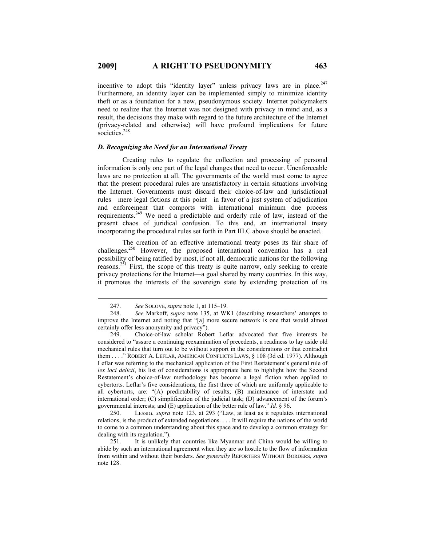incentive to adopt this "identity layer" unless privacy laws are in place. $247$ Furthermore, an identity layer can be implemented simply to minimize identity theft or as a foundation for a new, pseudonymous society. Internet policymakers need to realize that the Internet was not designed with privacy in mind and, as a result, the decisions they make with regard to the future architecture of the Internet (privacy-related and otherwise) will have profound implications for future societies.<sup>248</sup>

# *D. Recognizing the Need for an International Treaty*

Creating rules to regulate the collection and processing of personal information is only one part of the legal changes that need to occur. Unenforceable laws are no protection at all. The governments of the world must come to agree that the present procedural rules are unsatisfactory in certain situations involving the Internet. Governments must discard their choice-of-law and jurisdictional rules—mere legal fictions at this point—in favor of a just system of adjudication and enforcement that comports with international minimum due process requirements.249 We need a predictable and orderly rule of law, instead of the present chaos of juridical confusion. To this end, an international treaty incorporating the procedural rules set forth in Part III.C above should be enacted.

The creation of an effective international treaty poses its fair share of challenges.250 However, the proposed international convention has a real possibility of being ratified by most, if not all, democratic nations for the following reasons.<sup>251</sup> First, the scope of this treaty is quite narrow, only seeking to create privacy protections for the Internet—a goal shared by many countries. In this way, it promotes the interests of the sovereign state by extending protection of its

 <sup>247.</sup> *See* SOLOVE, *supra* note 1, at 115–19.

<sup>248.</sup> *See* Markoff, *supra* note 135, at WK1 (describing researchers' attempts to improve the Internet and noting that "[a] more secure network is one that would almost certainly offer less anonymity and privacy").

<sup>249.</sup> Choice-of-law scholar Robert Leflar advocated that five interests be considered to "assure a continuing reexamination of precedents, a readiness to lay aside old mechanical rules that turn out to be without support in the considerations or that contradict them . . . ." ROBERT A. LEFLAR, AMERICAN CONFLICTS LAWS, § 108 (3d ed. 1977). Although Leflar was referring to the mechanical application of the First Restatement's general rule of *lex loci delicti*, his list of considerations is appropriate here to highlight how the Second Restatement's choice-of-law methodology has become a legal fiction when applied to cybertorts. Leflar's five considerations, the first three of which are uniformly applicable to all cybertorts, are: "(A) predictability of results; (B) maintenance of interstate and international order; (C) simplification of the judicial task; (D) advancement of the forum's governmental interests; and (E) application of the better rule of law." *Id.* § 96.

<sup>250.</sup> LESSIG, *supra* note 123, at 293 ("Law, at least as it regulates international relations, is the product of extended negotiations. . . . It will require the nations of the world to come to a common understanding about this space and to develop a common strategy for dealing with its regulation.").

<sup>251.</sup> It is unlikely that countries like Myanmar and China would be willing to abide by such an international agreement when they are so hostile to the flow of information from within and without their borders. *See generally* REPORTERS WITHOUT BORDERS, *supra* note 128.